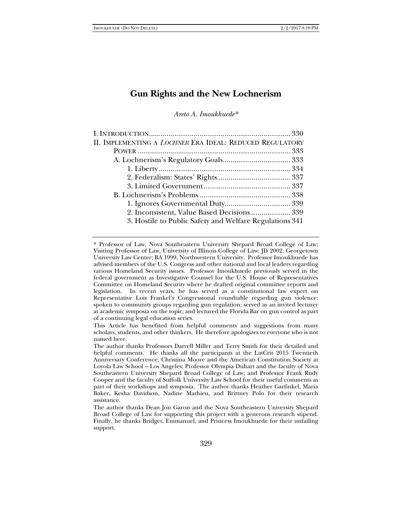# **Gun Rights and the New Lochnerism**

*Areto A. Imoukhuede\** 

| II. IMPLEMENTING A <i>LOCHNER</i> ERA IDEAL: REDUCED REGULATORY |  |
|-----------------------------------------------------------------|--|
|                                                                 |  |
|                                                                 |  |
|                                                                 |  |
|                                                                 |  |
|                                                                 |  |
|                                                                 |  |
|                                                                 |  |
| 2. Inconsistent, Value Based Decisions 339                      |  |
| 3. Hostile to Public Safety and Welfare Regulations 341         |  |
|                                                                 |  |

<sup>\*</sup> Professor of Law, Nova Southeastern University Shepard Broad College of Law; Visiting Professor of Law, University of Illinois College of Law; JD 2002, Georgetown University Law Center; BA 1999, Northwestern University. Professor Imoukhuede has advised members of the U.S. Congress and other national and local leaders regarding various Homeland Security issues. Professor Imoukhuede previously served in the federal government as Investigative Counsel for the U.S. House of Representatives Committee on Homeland Security where he drafted original committee reports and legislation. In recent years, he has served as a constitutional law expert on Representative Lois Frankel's Congressional roundtable regarding gun violence; spoken to community groups regarding gun regulation; served as an invited lecturer at academic symposia on the topic; and lectured the Florida Bar on gun control as part of a continuing legal education series.

This Article has benefited from helpful comments and suggestions from many scholars, students, and other thinkers. He therefore apologizes to everyone who is not named here.

The author thanks Professors Darrell Miller and Terry Smith for their detailed and helpful comments. He thanks all the participants at the LatCrit 2015 Twentieth Anniversary Conference; Christina Moore and the American Constitution Society at Loyola Law School – Los Angeles; Professor Olympia Duhart and the faculty of Nova Southeastern University Shepard Broad College of Law; and Professor Frank Rudy Cooper and the faculty of Suffolk University Law School for their useful comments as part of their workshops and symposia. The author thanks Heather Garfinkel, Maria Baker, Kesha Davidson, Nadine Mathieu, and Brittney Polo for their research assistance.

The author thanks Dean Jon Garon and the Nova Southeastern University Shepard Broad College of Law for supporting this project with a generous research stipend. Finally, he thanks Bridget, Emmanuel, and Princess Imoukhuede for their unfailing support.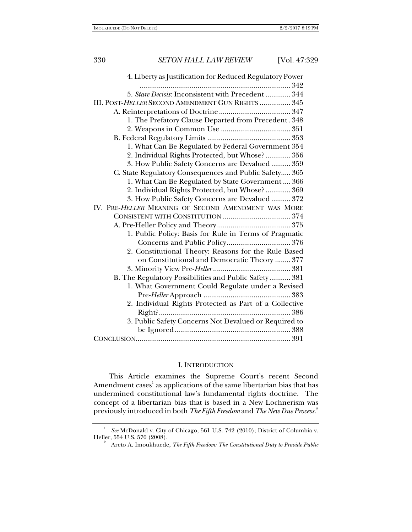| 4. Liberty as Justification for Reduced Regulatory Power |
|----------------------------------------------------------|
|                                                          |
| 5. Stare Decisis: Inconsistent with Precedent  344       |
| III. POST-HELLER SECOND AMENDMENT GUN RIGHTS  345        |
|                                                          |
| 1. The Prefatory Clause Departed from Precedent. 348     |
|                                                          |
|                                                          |
| 1. What Can Be Regulated by Federal Government 354       |
| 2. Individual Rights Protected, but Whose?  356          |
| 3. How Public Safety Concerns are Devalued  359          |
| C. State Regulatory Consequences and Public Safety 365   |
| 1. What Can Be Regulated by State Government  366        |
| 2. Individual Rights Protected, but Whose?  369          |
| 3. How Public Safety Concerns are Devalued  372          |
| IV. PRE-HELLER MEANING OF SECOND AMENDMENT WAS MORE      |
|                                                          |
|                                                          |
| 1. Public Policy: Basis for Rule in Terms of Pragmatic   |
|                                                          |
| 2. Constitutional Theory: Reasons for the Rule Based     |
| on Constitutional and Democratic Theory  377             |
|                                                          |
| B. The Regulatory Possibilities and Public Safety 381    |
| 1. What Government Could Regulate under a Revised        |
|                                                          |
| 2. Individual Rights Protected as Part of a Collective   |
|                                                          |
| 3. Public Safety Concerns Not Devalued or Required to    |
|                                                          |
|                                                          |

### I. INTRODUCTION

This Article examines the Supreme Court's recent Second Amendment cases $^{\rm l}$  as applications of the same libertarian bias that has undermined constitutional law's fundamental rights doctrine. The concept of a libertarian bias that is based in a New Lochnerism was previously introduced in both *The Fifth Freedom* and *The New Due Process*. 2

<sup>1</sup> *See* McDonald v. City of Chicago, 561 U.S. 742 (2010); District of Columbia v. Heller, 554 U.S. 570 (2008). 2

Areto A. Imoukhuede, *The Fifth Freedom: The Constitutional Duty to Provide Public*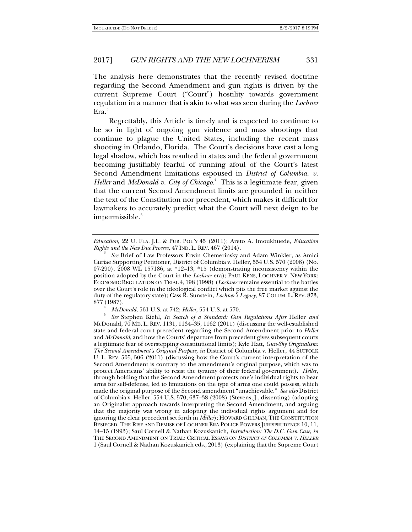The analysis here demonstrates that the recently revised doctrine regarding the Second Amendment and gun rights is driven by the current Supreme Court ("Court") hostility towards government regulation in a manner that is akin to what was seen during the *Lochner* Era.<sup>3</sup>

Regrettably, this Article is timely and is expected to continue to be so in light of ongoing gun violence and mass shootings that continue to plague the United States, including the recent mass shooting in Orlando, Florida. The Court's decisions have cast a long legal shadow, which has resulted in states and the federal government becoming justifiably fearful of running afoul of the Court's latest Second Amendment limitations espoused in *District of Columbia. v. Heller* and *McDonald v. City of Chicago*. 4 This is a legitimate fear, given that the current Second Amendment limits are grounded in neither the text of the Constitution nor precedent, which makes it difficult for lawmakers to accurately predict what the Court will next deign to be impermissible.<sup>5</sup>

*Education*, 22 U. FLA. J.L. & PUB. POL'Y 45 (2011); Areto A. Imoukhuede, *Education Rights and the New Due Process*, 47 IND. L. REV. 467 (2014).

*See* Brief of Law Professors Erwin Chemerinsky and Adam Winkler, as Amici Curiae Supporting Petitioner, District of Columbia v. Heller, 554 U.S. 570 (2008) (No. 07-290), 2008 WL 157186, at \*12–13, \*15 (demonstrating inconsistency within the position adopted by the Court in the *Lochner* era); PAUL KENS, LOCHNER V. NEW YORK: ECONOMIC REGULATION ON TRIAL 4, 198 (1998) (*Lochner* remains essential to the battles over the Court's role in the ideological conflict which pits the free market against the duty of the regulatory state); Cass R. Sunstein, *Lochner's Legacy*, 87 COLUM. L. REV. 873, 877 (1987).

<sup>4</sup> *McDonald*, 561 U.S. at 742; *Heller*, 554 U.S. at 570.

*See* Stephen Kiehl, *In Search of a Standard: Gun Regulations After* Heller *and*  McDonald, 70 MD. L. REV. 1131, 1134–35, 1162 (2011) (discussing the well-established state and federal court precedent regarding the Second Amendment prior to *Heller* and *McDonald*, and how the Courts' departure from precedent gives subsequent courts a legitimate fear of overstepping constitutional limits); Kyle Hatt, *Gun-Shy Originalism: The Second Amendment's Original Purpose*, *in* District of Columbia v. Heller, 44 SUFFOLK U. L. REV. 505, 506 (2011) (discussing how the Court's current interpretation of the Second Amendment is contrary to the amendment's original purpose, which was to protect Americans' ability to resist the tyranny of their federal government). *Heller*, through holding that the Second Amendment protects one's individual rights to bear arms for self-defense, led to limitations on the type of arms one could possess, which made the original purpose of the Second amendment "unachievable." *See also* District of Columbia v. Heller, 554 U.S. 570, 637–38 (2008) (Stevens, J., dissenting) (adopting an Originalist approach towards interpreting the Second Amendment, and arguing that the majority was wrong in adopting the individual rights argument and for ignoring the clear precedent set forth in *Miller*); HOWARD GILLMAN, THE CONSTITUTION BESIEGED: THE RISE AND DEMISE OF LOCHNER ERA POLICE POWERS JURISPRUDENCE 10, 11, 14–15 (1993); Saul Cornell & Nathan Kozuskanich, *Introduction: The D.C. Gun Case*, *in*  THE SECOND AMENDMENT ON TRIAL: CRITICAL ESSAYS ON *DISTRICT OF COLUMBIA V. HELLER* 1 (Saul Cornell & Nathan Kozuskanich eds., 2013) (explaining that the Supreme Court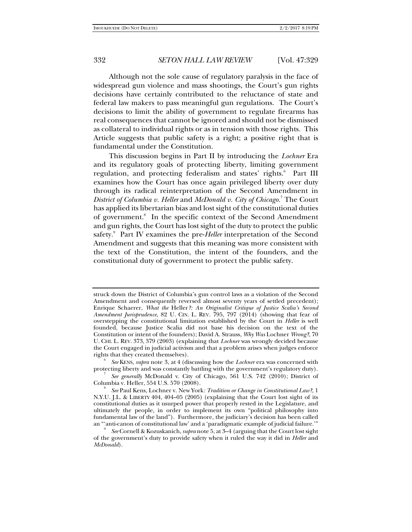Although not the sole cause of regulatory paralysis in the face of widespread gun violence and mass shootings, the Court's gun rights decisions have certainly contributed to the reluctance of state and federal law makers to pass meaningful gun regulations. The Court's decisions to limit the ability of government to regulate firearms has real consequences that cannot be ignored and should not be dismissed as collateral to individual rights or as in tension with those rights. This Article suggests that public safety is a right; a positive right that is fundamental under the Constitution.

This discussion begins in Part II by introducing the *Lochner* Era and its regulatory goals of protecting liberty, limiting government regulation, and protecting federalism and states' rights.<sup>6</sup> Part III examines how the Court has once again privileged liberty over duty through its radical reinterpretation of the Second Amendment in *District of Columbia v. Heller* and *McDonald v. City of Chicago.*<sup>7</sup>The Court has applied its libertarian bias and lost sight of the constitutional duties of government.<sup>8</sup> In the specific context of the Second Amendment and gun rights, the Court has lost sight of the duty to protect the public safety.<sup>9</sup> Part IV examines the pre-*Heller* interpretation of the Second Amendment and suggests that this meaning was more consistent with the text of the Constitution, the intent of the founders, and the constitutional duty of government to protect the public safety.

 *See* KENS, *supra* note 3, at 4 (discussing how the *Lochner* era was concerned with protecting liberty and was constantly battling with the government's regulatory duty).

 *See generally* McDonald v. City of Chicago, 561 U.S. 742 (2010); District of Columbia v. Heller, 554 U.S. 570 (2008). 8

struck down the District of Columbia's gun control laws as a violation of the Second Amendment and consequently reversed almost seventy years of settled precedent); Enrique Schaerer, *What the* Heller*?: An Originalist Critique of Justice Scalia's Second Amendment Jurisprudence*, 82 U. CIN. L. REV. 795, 797 (2014) (showing that fear of overstepping the constitutional limitation established by the Court in *Heller* is well founded, because Justice Scalia did not base his decision on the text of the Constitution or intent of the founders); David A. Strauss, *Why Was* Lochner *Wrong?*, 70 U. CHI. L. REV. 373, 379 (2003) (explaining that *Lochner* was wrongly decided because the Court engaged in judicial activism and that a problem arises when judges enforce rights that they created themselves).

*See* Paul Kens, Lochner v. New York*: Tradition or Change in Constitutional Law?*, 1 N.Y.U. J.L. & LIBERTY 404, 404–05 (2005) (explaining that the Court lost sight of its constitutional duties as it usurped power that properly rested in the Legislature, and ultimately the people, in order to implement its own "political philosophy into fundamental law of the land"). Furthermore, the judiciary's decision has been called an "'anti-canon of constitutional law' and a 'paradigmatic example of judicial failure.'" 9

*See* Cornell & Kozuskanich,*supra* note 5, at 3–4 (arguing that the Court lost sight of the government's duty to provide safety when it ruled the way it did in *Heller* and *McDonald*).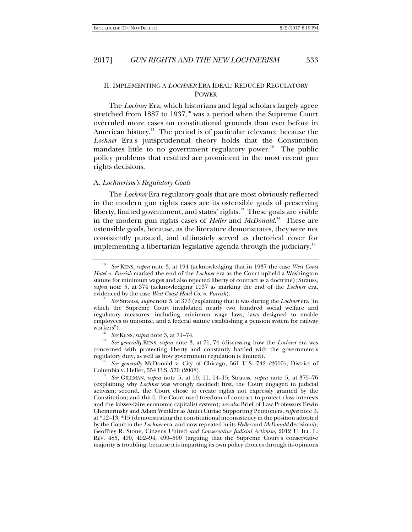# II. IMPLEMENTING A *LOCHNER* ERA IDEAL: REDUCED REGULATORY POWER

The *Lochner* Era, which historians and legal scholars largely agree stretched from  $1887$  to  $1937<sup>10</sup>$  was a period when the Supreme Court overruled more cases on constitutional grounds than ever before in American history.<sup>11</sup> The period is of particular relevance because the *Lochner* Era's jurisprudential theory holds that the Constitution mandates little to no government regulatory power.<sup>12</sup> The public policy problems that resulted are prominent in the most recent gun rights decisions.

### A. *Lochnerism's Regulatory Goals*

The *Lochner* Era regulatory goals that are most obviously reflected in the modern gun rights cases are its ostensible goals of preserving liberty, limited government, and states' rights.<sup>13</sup> These goals are visible in the modern gun rights cases of *Heller* and *McDonald*. 14 These are ostensible goals, because, as the literature demonstrates, they were not consistently pursued, and ultimately served as rhetorical cover for implementing a libertarian legislative agenda through the judiciary.<sup>15</sup>

*See generally* KENS, *supra* note 3, at 71, 74 (discussing how the *Lochner* era was concerned with protecting liberty and constantly battled with the government's regulatory duty, as well as how government regulation is limited). 14

 *See generally* McDonald v. City of Chicago, 561 U.S. 742 (2010); District of Columbia v. Heller, 554 U.S. 570 (2008). 15 *See* GILLMAN, *supra* note 5, at 10, 11, 14–15; Strauss, *supra* note 5, at 375–76

<sup>10</sup> *See* KENS, *supra* note 3, at 194 (acknowledging that in 1937 the case *West Coast Hotel v. Parrish* marked the end of the *Lochner* era as the Court upheld a Washington statute for minimum wages and also rejected liberty of contract as a doctrine); Strauss, *supra* note 5, at 374 (acknowledging 1937 as marking the end of the *Lochner* era, evidenced by the case *West Coast Hotel Co. v. Parrish*).

*See* Strauss, *supra* note 5, at 373 (explaining that it was during the *Lochner* era "in which the Supreme Court invalidated nearly two hundred social welfare and regulatory measures, including minimum wage laws, laws designed to enable employees to unionize, and a federal statute establishing a pension system for railway workers").<br> $\frac{12}{12}$  See KENS, supra note 3, at 71–74.

<sup>(</sup>explaining why *Lochner* was wrongly decided: first, the Court engaged in judicial activism; second, the Court chose to create rights not expressly granted by the Constitution; and third, the Court used freedom of contract to protect class interests and the laissez-faire economic capitalist system); *see also* Brief of Law Professors Erwin Chemerinsky and Adam Winkler as Amici Curiae Supporting Petitioners, *supra* note 3, at \*12–13, \*15 (demonstrating the constitutional inconsistency in the position adopted by the Court in the *Lochner* era, and now repeated in its *Heller* and *McDonald* decisions); Geoffrey R. Stone, Citizens United *and Conservative Judicial Activism*, 2012 U. ILL. L. REV. 485, 490, 492–94, 499–500 (arguing that the Supreme Court's conservative majority is troubling, because it is imparting its own policy choices through its opinions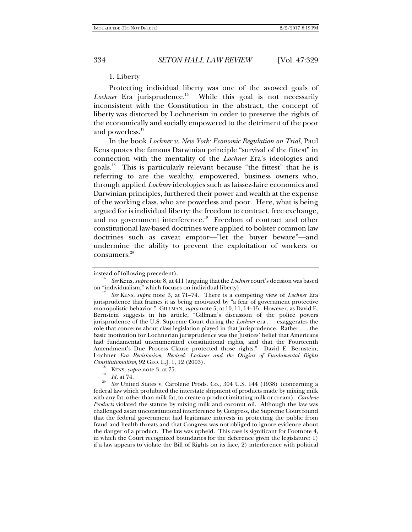### 1. Liberty

Protecting individual liberty was one of the avowed goals of *Lochner* Era jurisprudence.<sup>16</sup> While this goal is not necessarily inconsistent with the Constitution in the abstract, the concept of liberty was distorted by Lochnerism in order to preserve the rights of the economically and socially empowered to the detriment of the poor and powerless.<sup>17</sup>

In the book *Lochner v. New York: Economic Regulation on Trial*, Paul Kens quotes the famous Darwinian principle "survival of the fittest" in connection with the mentality of the *Lochner* Era's ideologies and goals.18 This is particularly relevant because "the fittest" that he is referring to are the wealthy, empowered, business owners who, through applied *Lochner* ideologies such as laissez-faire economics and Darwinian principles, furthered their power and wealth at the expense of the working class, who are powerless and poor. Here, what is being argued for is individual liberty: the freedom to contract, free exchange, and no government interference.<sup>19</sup> Freedom of contract and other constitutional law-based doctrines were applied to bolster common law doctrines such as caveat emptor—"let the buyer beware"—and undermine the ability to prevent the exploitation of workers or consumers.<sup>20</sup>

instead of following precedent).

*See* Kens, *supra* note 8, at 411 (arguing thatthe *Lochner* court's decision was based on "individualism," which focuses on individual liberty).

*See* KENS, *supra* note 3, at 71–74. There is a competing view of *Lochner* Era jurisprudence that frames it as being motivated by "a fear of government protective monopolistic behavior." GILLMAN, *supra* note 5, at 10, 11, 14–15. However, as David E. Bernstein suggests in his article, "Gillman's discussion of the police powers jurisprudence of the U.S. Supreme Court during the *Lochner* era . . . exaggerates the role that concerns about class legislation played in that jurisprudence. Rather . . . the basic motivation for Lochnerian jurisprudence was the Justices' belief that Americans had fundamental unenumerated constitutional rights, and that the Fourteenth Amendment's Due Process Clause protected those rights." David E. Bernstein, Lochner *Era Revisionism, Revised: Lochner and the Origins of Fundamental Rights* 

<sup>&</sup>lt;sup>18</sup> KENS, *supra* note 3, at 75.<br><sup>19</sup> *Id.* at 74.<br><sup>20</sup> *See* United States v. Carolene Prods. Co., 304 U.S. 144 (1938) (concerning a federal law which prohibited the interstate shipment of products made by mixing milk with any fat, other than milk fat, to create a product imitating milk or cream). *Carolene Products* violated the statute by mixing milk and coconut oil. Although the law was challenged as an unconstitutional interference by Congress, the Supreme Court found that the federal government had legitimate interests in protecting the public from fraud and health threats and that Congress was not obliged to ignore evidence about the danger of a product. The law was upheld. This case is significant for Footnote 4, in which the Court recognized boundaries for the deference given the legislature: 1) if a law appears to violate the Bill of Rights on its face, 2) interference with political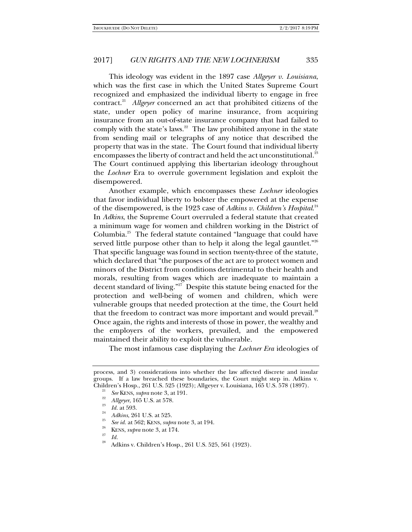This ideology was evident in the 1897 case *Allgeyer v. Louisiana*, which was the first case in which the United States Supreme Court recognized and emphasized the individual liberty to engage in free contract.21 *Allgeyer* concerned an act that prohibited citizens of the state, under open policy of marine insurance, from acquiring insurance from an out-of-state insurance company that had failed to comply with the state's laws. $22$  The law prohibited anyone in the state from sending mail or telegraphs of any notice that described the property that was in the state. The Court found that individual liberty encompasses the liberty of contract and held the act unconstitutional.<sup>23</sup> The Court continued applying this libertarian ideology throughout the *Lochner* Era to overrule government legislation and exploit the disempowered.

Another example, which encompasses these *Lochner* ideologies that favor individual liberty to bolster the empowered at the expense of the disempowered, is the 1923 case of *Adkins v. Children's Hospital*. 24 In *Adkins*, the Supreme Court overruled a federal statute that created a minimum wage for women and children working in the District of Columbia.25 The federal statute contained "language that could have served little purpose other than to help it along the legal gauntlet."<sup>26</sup> That specific language was found in section twenty-three of the statute, which declared that "the purposes of the act are to protect women and minors of the District from conditions detrimental to their health and morals, resulting from wages which are inadequate to maintain a decent standard of living."<sup>27</sup> Despite this statute being enacted for the protection and well-being of women and children, which were vulnerable groups that needed protection at the time, the Court held that the freedom to contract was more important and would prevail.<sup>28</sup> Once again, the rights and interests of those in power, the wealthy and the employers of the workers, prevailed, and the empowered maintained their ability to exploit the vulnerable.

The most infamous case displaying the *Lochner Era* ideologies of

process, and 3) considerations into whether the law affected discrete and insular groups. If a law breached these boundaries, the Court might step in. Adkins v. Children's Hosp., 261 U.S. 525 (1923); Allgeyer v. Louisiana, 165 U.S. 578 (1897). 21

*See* KENS, *supra* note 3, at 191.<br><sup>22</sup> *Allgeyer*, 165 U.S. at 578.<br><sup>23</sup> *Id.* at 593.<br><sup>24</sup> *Adkins*. 261 U.S. at 525.

*See id.* at 562; KENS, *supra* note 3, at 194. KENS, *supra* note 3, at 174.

*<sup>&</sup>lt;sup>21</sup> Id. Bs. Adkins v. Children's Hosp., 261 U.S.* 525, 561 (1923).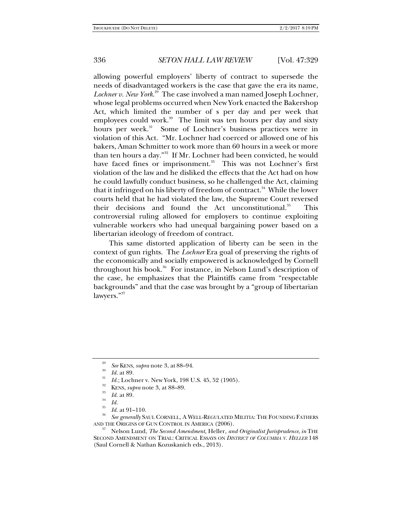allowing powerful employers' liberty of contract to supersede the needs of disadvantaged workers is the case that gave the era its name, *Lochner v. New York*. 29 The case involved a man named Joseph Lochner, whose legal problems occurred when New York enacted the Bakershop Act, which limited the number of s per day and per week that employees could work.<sup>30</sup> The limit was ten hours per day and sixty hours per week.<sup>31</sup> Some of Lochner's business practices were in violation of this Act. "Mr. Lochner had coerced or allowed one of his bakers, Aman Schmitter to work more than 60 hours in a week or more than ten hours a day."32 If Mr. Lochner had been convicted, he would have faced fines or imprisonment.<sup>33</sup> This was not Lochner's first violation of the law and he disliked the effects that the Act had on how he could lawfully conduct business, so he challenged the Act, claiming that it infringed on his liberty of freedom of contract.<sup>34</sup> While the lower courts held that he had violated the law, the Supreme Court reversed their decisions and found the Act unconstitutional. $35$  This controversial ruling allowed for employers to continue exploiting vulnerable workers who had unequal bargaining power based on a libertarian ideology of freedom of contract.

This same distorted application of liberty can be seen in the context of gun rights. The *Lochner* Era goal of preserving the rights of the economically and socially empowered is acknowledged by Cornell throughout his book.<sup>36</sup> For instance, in Nelson Lund's description of the case, he emphasizes that the Plaintiffs came from "respectable backgrounds" and that the case was brought by a "group of libertarian lawyers."<sup>37</sup>

<sup>36</sup> *See generally* SAUL CORNELL, A WELL-REGULATED MILITIA: THE FOUNDING FATHERS AND THE ORIGINS OF GUN CONTROL IN AMERICA (2006).

AND THE ORIGINS OF GUN CONTROL IN AMERICA (2006). 37 Nelson Lund, *The Second Amendment,* Heller*, and Originalist Jurisprudence*, *in* THE SECOND AMENDMENT ON TRIAL: CRITICAL ESSAYS ON *DISTRICT OF COLUMBIA V. HELLER* 148 (Saul Cornell & Nathan Kozuskanich eds., 2013).

<sup>&</sup>lt;sup>29</sup> *See* KENS, *supra* note 3, at 88–94.<br><sup>30</sup> *Id.* at 89.

*Id.*; Lochner v. New York, 198 U.S. 45, 52 (1905).<br><sup>32</sup> KENS, *supra* note 3, at 88–89.<br>*33 Id.* at 89.

<sup>&</sup>lt;sup>34</sup> *Id. Id.* at 91–110.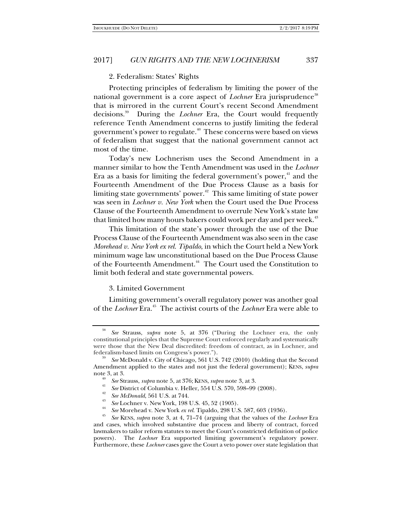## 2. Federalism: States' Rights

Protecting principles of federalism by limiting the power of the national government is a core aspect of *Lochner* Era jurisprudence<sup>38</sup> that is mirrored in the current Court's recent Second Amendment decisions.39 During the *Lochner* Era, the Court would frequently reference Tenth Amendment concerns to justify limiting the federal government's power to regulate.<sup>40</sup> These concerns were based on views of federalism that suggest that the national government cannot act most of the time.

Today's new Lochnerism uses the Second Amendment in a manner similar to how the Tenth Amendment was used in the *Lochner* Era as a basis for limiting the federal government's power, $4$  and the Fourteenth Amendment of the Due Process Clause as a basis for limiting state governments' power. $42$  This same limiting of state power was seen in *Lochner v. New York* when the Court used the Due Process Clause of the Fourteenth Amendment to overrule New York's state law that limited how many hours bakers could work per day and per week.<sup>43</sup>

This limitation of the state's power through the use of the Due Process Clause of the Fourteenth Amendment was also seen in the case *Morehead v. New York ex rel. Tipaldo*, in which the Court held a New York minimum wage law unconstitutional based on the Due Process Clause of the Fourteenth Amendment.<sup>44</sup> The Court used the Constitution to limit both federal and state governmental powers.

### 3. Limited Government

Limiting government's overall regulatory power was another goal of the *Lochner* Era.45 The activist courts of the *Lochner* Era were able to

<sup>38</sup> *See* Strauss, *supra* note 5, at 376 ("During the Lochner era, the only constitutional principles that the Supreme Court enforced regularly and systematically were those that the New Deal discredited: freedom of contract, as in Lochner, and federalism-based limits on Congress's power.").

See McDonald v. City of Chicago, 561 U.S. 742 (2010) (holding that the Second Amendment applied to the states and not just the federal government); KENS, *supra*  note 3, at 3.<br><sup>40</sup> *See* Strauss, *supra* note 5, at 376; KENS, *supra* note 3, at 3.

<sup>&</sup>lt;sup>41</sup> *See District of Columbia v. Heller, 554 U.S. 570, 598–99 (2008).*  $\frac{42}{12}$  *See M.D. J. 551 U.S.*  $\frac{744}{12}$ 

<sup>&</sup>lt;sup>42</sup> *See McDonald*, 561 U.S. at 744.<br><sup>43</sup> *See* Lochner v. New York, 198 U.S. 45, 52 (1905).

<sup>&</sup>lt;sup>44</sup> See Morehead v. New York ex rel. Tipaldo, 298 U.S. 587, 603 (1936).<br><sup>45</sup> See KENS, *supra* note 3, at 4, 71–74 (arguing that the values of the *Lochner* Era and cases, which involved substantive due process and liberty of contract, forced lawmakers to tailor reform statutes to meet the Court's constricted definition of police powers). The *Lochner* Era supported limiting government's regulatory power. Furthermore, these *Lochner* cases gave the Court a veto power over state legislation that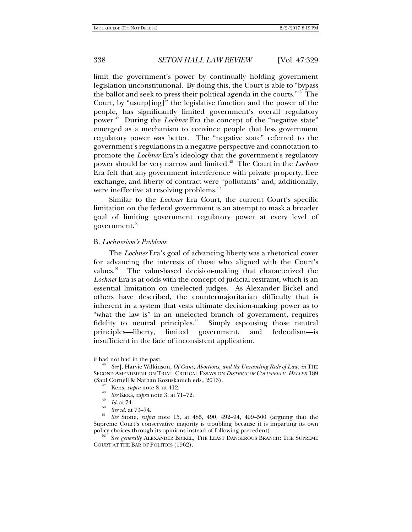limit the government's power by continually holding government legislation unconstitutional. By doing this, the Court is able to "bypass the ballot and seek to press their political agenda in the courts."46 The Court, by "usurp[ing]" the legislative function and the power of the people, has significantly limited government's overall regulatory power.<sup>47</sup> During the *Lochner* Era the concept of the "negative state" emerged as a mechanism to convince people that less government regulatory power was better. The "negative state" referred to the government's regulations in a negative perspective and connotation to promote the *Lochner* Era's ideology that the government's regulatory power should be very narrow and limited.<sup>48</sup> The Court in the *Lochner* Era felt that any government interference with private property, free exchange, and liberty of contract were "pollutants" and, additionally, were ineffective at resolving problems.<sup>49</sup>

Similar to the *Lochner* Era Court, the current Court's specific limitation on the federal government is an attempt to mask a broader goal of limiting government regulatory power at every level of government.<sup>50</sup>

### B. *Lochnerism's Problems*

The *Lochner* Era's goal of advancing liberty was a rhetorical cover for advancing the interests of those who aligned with the Court's values. $51$  The value-based decision-making that characterized the *Lochner* Era is at odds with the concept of judicial restraint, which is an essential limitation on unelected judges. As Alexander Bickel and others have described, the countermajoritarian difficulty that is inherent in a system that vests ultimate decision-making power as to "what the law is" in an unelected branch of government, requires fidelity to neutral principles.<sup>52</sup> Simply espousing those neutral principles—liberty, limited government, and federalism—is insufficient in the face of inconsistent application.

it had not had in the past.

*See* J. Harvie Wilkinson, *Of Guns, Abortions, and the Unraveling Rule of Law*, *in* THE SECOND AMENDMENT ON TRIAL: CRITICAL ESSAYS ON *DISTRICT OF COLUMBIA V. HELLER* 189 (Saul Cornell & Nathan Kozuskanich eds., 2013). 47 Kens, *supra* note 8, at 412. 48

<sup>&</sup>lt;sup>48</sup> *See* KENS, *supra* note 3, at 71–72.<br><sup>49</sup> *Id.* at 74.<br><sup>50</sup> *See id.* at 73–74.

*See* Stone, *supra* note 15, at 485, 490, 492–94, 499–500 (arguing that the Supreme Court's conservative majority is troubling because it is imparting its own policy choices through its opinions instead of following precedent). 52 S*ee generally* ALEXANDER BICKEL, THE LEAST DANGEROUS BRANCH: THE SUPREME

COURT AT THE BAR OF POLITICS (1962).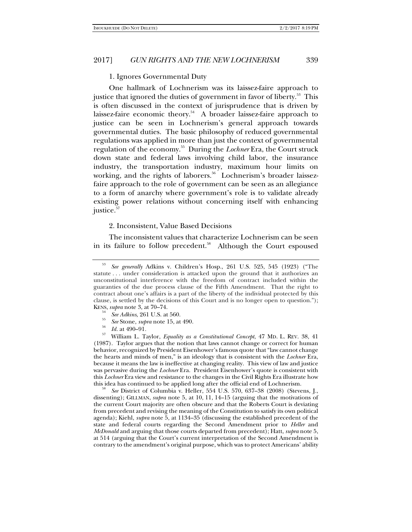## 1. Ignores Governmental Duty

One hallmark of Lochnerism was its laissez-faire approach to justice that ignored the duties of government in favor of liberty.<sup>53</sup> This is often discussed in the context of jurisprudence that is driven by laissez-faire economic theory.<sup>54</sup> A broader laissez-faire approach to justice can be seen in Lochnerism's general approach towards governmental duties. The basic philosophy of reduced governmental regulations was applied in more than just the context of governmental regulation of the economy.55 During the *Lochner* Era, the Court struck down state and federal laws involving child labor, the insurance industry, the transportation industry, maximum hour limits on working, and the rights of laborers.<sup>56</sup> Lochnerism's broader laissezfaire approach to the role of government can be seen as an allegiance to a form of anarchy where government's role is to validate already existing power relations without concerning itself with enhancing justice.<sup>57</sup>

# 2. Inconsistent, Value Based Decisions

The inconsistent values that characterize Lochnerism can be seen in its failure to follow precedent.<sup>58</sup> Although the Court espoused

- 
- 
- 

<sup>34</sup> See Adkins, 261 U.S. at 560.<br>
<sup>55</sup> See Stone, *supra* note 15, at 490.<br>
<sup>56</sup> Id. at 490–91.<br>
<sup>57</sup> William L. Taylor, *Equality as a Constitutional Concept*, 47 MD. L. REV. 38, 41 (1987). Taylor argues that the notion that laws cannot change or correct for human behavior, recognized by President Eisenhower's famous quote that "law cannot change the hearts and minds of men," is an ideology that is consistent with the *Lochner* Era, because it means the law is ineffective at changing reality. This view of law and justice was pervasive during the *Lochner* Era. President Eisenhower's quote is consistent with this *Lochner* Era view and resistance to the changes in the Civil Rights Era illustrate how this idea has continued to be applied long after the official end of Lochnerism.

 *See* District of Columbia v. Heller, 554 U.S. 570, 637–38 (2008) (Stevens, J., dissenting); GILLMAN, *supra* note 5, at 10, 11, 14–15 (arguing that the motivations of the current Court majority are often obscure and that the Roberts Court is deviating from precedent and revising the meaning of the Constitution to satisfy its own political agenda); Kiehl, *supra* note 5, at 1134–35 (discussing the established precedent of the state and federal courts regarding the Second Amendment prior to *Heller* and *McDonald* and arguing that those courts departed from precedent); Hatt, *supra* note 5, at 514 (arguing that the Court's current interpretation of the Second Amendment is contrary to the amendment's original purpose, which was to protect Americans' ability

<sup>53</sup> *See generally* Adkins v. Children's Hosp., 261 U.S. 525, 545 (1923) ("The statute . . . under consideration is attacked upon the ground that it authorizes an unconstitutional interference with the freedom of contract included within the guaranties of the due process clause of the Fifth Amendment. That the right to contract about one's affairs is a part of the liberty of the individual protected by this clause, is settled by the decisions of this Court and is no longer open to question.");<br>KENS, *supra* note 3, at 70–74.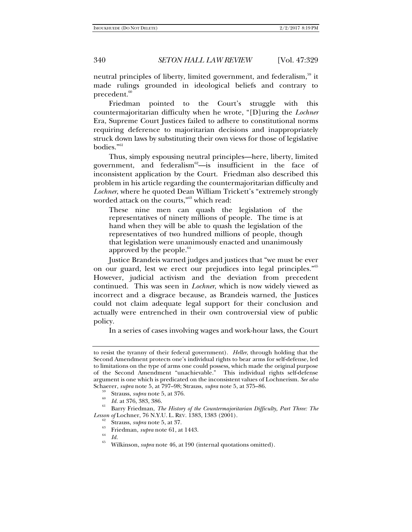neutral principles of liberty, limited government, and federalism,<sup>59</sup> it made rulings grounded in ideological beliefs and contrary to precedent.<sup>60</sup>

Friedman pointed to the Court's struggle with this countermajoritarian difficulty when he wrote, "[D]uring the *Lochner* Era, Supreme Court Justices failed to adhere to constitutional norms requiring deference to majoritarian decisions and inappropriately struck down laws by substituting their own views for those of legislative bodies."61

Thus, simply espousing neutral principles—here, liberty, limited government, and federalism $62$ —is insufficient in the face of inconsistent application by the Court. Friedman also described this problem in his article regarding the countermajoritarian difficulty and *Lochner*, where he quoted Dean William Trickett's "extremely strongly worded attack on the courts,"63 which read:

These nine men can quash the legislation of the representatives of ninety millions of people. The time is at hand when they will be able to quash the legislation of the representatives of two hundred millions of people, though that legislation were unanimously enacted and unanimously approved by the people. $^{64}$ 

Justice Brandeis warned judges and justices that "we must be ever on our guard, lest we erect our prejudices into legal principles."65 However, judicial activism and the deviation from precedent continued. This was seen in *Lochner*, which is now widely viewed as incorrect and a disgrace because, as Brandeis warned, the Justices could not claim adequate legal support for their conclusion and actually were entrenched in their own controversial view of public policy.

In a series of cases involving wages and work-hour laws, the Court

to resist the tyranny of their federal government). *Heller*, through holding that the Second Amendment protects one's individual rights to bear arms for self-defense, led to limitations on the type of arms one could possess, which made the original purpose of the Second Amendment "unachievable." This individual rights self-defense argument is one which is predicated on the inconsistent values of Lochnerism. *See also* Schaerer, *supra* note 5, at 797–98; Strauss, *supra* note 5, at 375–86.<br><sup>59</sup> Strauss, *supra* note 5, at 376.<br><sup>60</sup> Id. at 376, 383, 386.

<sup>&</sup>lt;sup>61</sup> Barry Friedman, *The History of the Countermajoritarian Difficulty, Part Three: The Lesson of Lochner, 76 N.Y.U. L. REV. 1383, 1383 (2001).* 

<sup>&</sup>lt;sup>62</sup> Strauss, *supra* note 5, at 37.<br>
<sup>63</sup> Friedman, *supra* note 61, at 1443.<br>
<sup>64</sup> *Id.*<br>
<sup>65</sup> Wilkinson, *supra* note 46, at 190 (internal quotations omitted).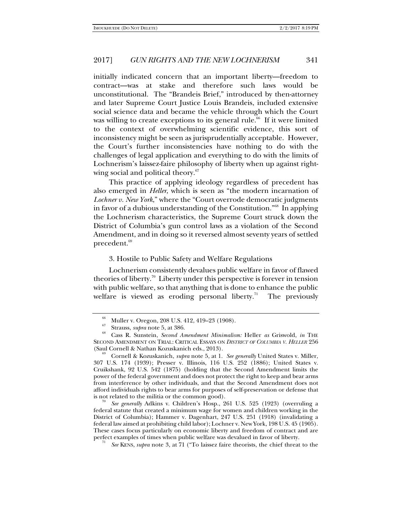initially indicated concern that an important liberty—freedom to contract—was at stake and therefore such laws would be unconstitutional. The "Brandeis Brief," introduced by then-attorney and later Supreme Court Justice Louis Brandeis, included extensive social science data and became the vehicle through which the Court was willing to create exceptions to its general rule.<sup>66</sup> If it were limited to the context of overwhelming scientific evidence, this sort of inconsistency might be seen as jurisprudentially acceptable. However, the Court's further inconsistencies have nothing to do with the challenges of legal application and everything to do with the limits of Lochnerism's laissez-faire philosophy of liberty when up against rightwing social and political theory.<sup>67</sup>

This practice of applying ideology regardless of precedent has also emerged in *Heller*, which is seen as "the modern incarnation of *Lochner v. New York*," where the "Court overrode democratic judgments in favor of a dubious understanding of the Constitution."68 In applying the Lochnerism characteristics, the Supreme Court struck down the District of Columbia's gun control laws as a violation of the Second Amendment, and in doing so it reversed almost seventy years of settled precedent.<sup>69</sup>

### 3. Hostile to Public Safety and Welfare Regulations

Lochnerism consistently devalues public welfare in favor of flawed theories of liberty.<sup>70</sup> Liberty under this perspective is forever in tension with public welfare, so that anything that is done to enhance the public welfare is viewed as eroding personal liberty.<sup>71</sup> The previously

 *See generally* Adkins v. Children's Hosp., 261 U.S. 525 (1923) (overruling a federal statute that created a minimum wage for women and children working in the District of Columbia); Hammer v. Dagenhart, 247 U.S. 251 (1918) (invalidating a federal law aimed at prohibiting child labor); Lochner v. New York, 198 U.S. 45 (1905). These cases focus particularly on economic liberty and freedom of contract and are perfect examples of times when public welfare was devalued in favor of liberty. 71

<sup>&</sup>lt;sup>66</sup> Muller v. Oregon, 208 U.S. 412, 419–23 (1908).

<sup>67</sup> Strauss, *supra* note 5, at 386. 68 Cass R. Sunstein, *Second Amendment Minimalism:* Heller *as* Griswold, *in* THE SECOND AMENDMENT ON TRIAL: CRITICAL ESSAYS ON *DISTRICT OF COLUMBIA V. HELLER* 256 (Saul Cornell & Nathan Kozuskanich eds., 2013). 69 Cornell & Kozuskanich, *supra* note 5, at 1. *See generally* United States v. Miller,

<sup>307</sup> U.S. 174 (1939); Presser v. Illinois, 116 U.S. 252 (1886); United States v. Cruikshank, 92 U.S. 542 (1875) (holding that the Second Amendment limits the power of the federal government and does not protect the right to keep and bear arms from interference by other individuals, and that the Second Amendment does not afford individuals rights to bear arms for purposes of self-preservation or defense that is not related to the militia or the common good).

*See* KENS, *supra* note 3, at 71 ("To laissez faire theorists, the chief threat to the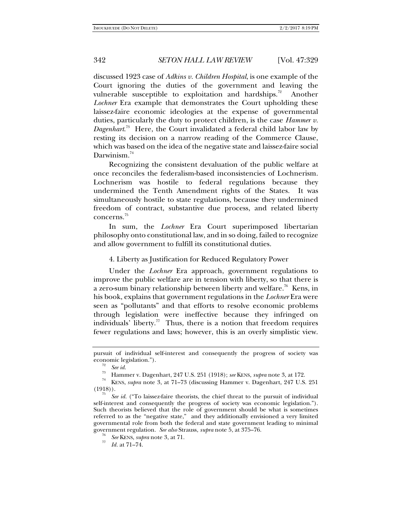discussed 1923 case of *Adkins v. Children Hospital*, is one example of the Court ignoring the duties of the government and leaving the vulnerable susceptible to exploitation and hardships.<sup>72</sup> Another *Lochner* Era example that demonstrates the Court upholding these laissez-faire economic ideologies at the expense of governmental duties, particularly the duty to protect children, is the case *Hammer v. Dagenhart*. 73 Here, the Court invalidated a federal child labor law by resting its decision on a narrow reading of the Commerce Clause, which was based on the idea of the negative state and laissez-faire social Darwinism.<sup>74</sup>

Recognizing the consistent devaluation of the public welfare at once reconciles the federalism-based inconsistencies of Lochnerism. Lochnerism was hostile to federal regulations because they undermined the Tenth Amendment rights of the States. It was simultaneously hostile to state regulations, because they undermined freedom of contract, substantive due process, and related liberty concerns.75

In sum, the *Lochner* Era Court superimposed libertarian philosophy onto constitutional law, and in so doing, failed to recognize and allow government to fulfill its constitutional duties.

4. Liberty as Justification for Reduced Regulatory Power

Under the *Lochner* Era approach, government regulations to improve the public welfare are in tension with liberty, so that there is a zero-sum binary relationship between liberty and welfare.<sup>76</sup> Kens, in his book, explains that government regulations in the *Lochner* Era were seen as "pollutants" and that efforts to resolve economic problems through legislation were ineffective because they infringed on individuals' liberty.<sup>77</sup> Thus, there is a notion that freedom requires fewer regulations and laws; however, this is an overly simplistic view.

pursuit of individual self-interest and consequently the progress of society was economic legislation.").<br><sup>72</sup> *See id.* 

<sup>73</sup> Hammer v. Dagenhart, 247 U.S. 251 (1918); *see* KENS, *supra* note 3, at 172. 74 KENS, *supra* note 3, at 71–73 (discussing Hammer v. Dagenhart, 247 U.S. 251 (1918)).<br><sup>75</sup> *See id.* ("To laissez-faire theorists, the chief threat to the pursuit of individual

self-interest and consequently the progress of society was economic legislation."). Such theorists believed that the role of government should be what is sometimes referred to as the "negative state," and they additionally envisioned a very limited governmental role from both the federal and state government leading to minimal government regulation. *See also* Strauss, *supra* note 5, at 375–76.<br><sup>76</sup> *See* KENS, *supra* note 3, at 71.

*Id.* at 71–74.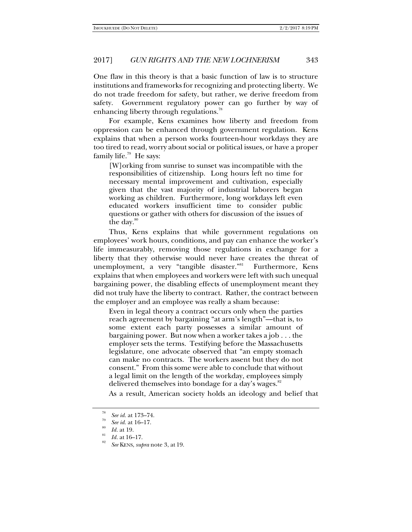One flaw in this theory is that a basic function of law is to structure institutions and frameworks for recognizing and protecting liberty. We do not trade freedom for safety, but rather, we derive freedom from safety. Government regulatory power can go further by way of enhancing liberty through regulations.<sup>78</sup>

For example, Kens examines how liberty and freedom from oppression can be enhanced through government regulation. Kens explains that when a person works fourteen-hour workdays they are too tired to read, worry about social or political issues, or have a proper family life. $79$  He says:

[W]orking from sunrise to sunset was incompatible with the responsibilities of citizenship. Long hours left no time for necessary mental improvement and cultivation, especially given that the vast majority of industrial laborers began working as children. Furthermore, long workdays left even educated workers insufficient time to consider public questions or gather with others for discussion of the issues of the day. $80$ 

Thus, Kens explains that while government regulations on employees' work hours, conditions, and pay can enhance the worker's life immeasurably, removing those regulations in exchange for a liberty that they otherwise would never have creates the threat of unemployment, a very "tangible disaster."<sup>81</sup> Furthermore, Kens explains that when employees and workers were left with such unequal bargaining power, the disabling effects of unemployment meant they did not truly have the liberty to contract. Rather, the contract between the employer and an employee was really a sham because:

Even in legal theory a contract occurs only when the parties reach agreement by bargaining "at arm's length"—that is, to some extent each party possesses a similar amount of bargaining power. But now when a worker takes a job . . . the employer sets the terms. Testifying before the Massachusetts legislature, one advocate observed that "an empty stomach can make no contracts. The workers assent but they do not consent." From this some were able to conclude that without a legal limit on the length of the workday, employees simply delivered themselves into bondage for a day's wages. $82$ 

As a result, American society holds an ideology and belief that

<sup>78</sup> <sup>78</sup> *See id.* at 173–74.<br><sup>79</sup> *See id.* at 16–17.<br><sup>80</sup> *Id.* at 19.

*Id.* at 16–17.

*See* KENS, *supra* note 3, at 19.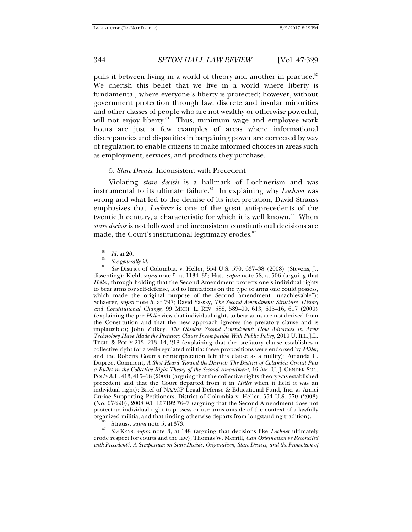pulls it between living in a world of theory and another in practice.<sup>83</sup> We cherish this belief that we live in a world where liberty is fundamental, where everyone's liberty is protected; however, without government protection through law, discrete and insular minorities and other classes of people who are not wealthy or otherwise powerful, will not enjoy liberty.<sup>84</sup> Thus, minimum wage and employee work hours are just a few examples of areas where informational discrepancies and disparities in bargaining power are corrected by way of regulation to enable citizens to make informed choices in areas such as employment, services, and products they purchase.

### 5. *Stare Decisis*: Inconsistent with Precedent

Violating *stare decisis* is a hallmark of Lochnerism and was instrumental to its ultimate failure.<sup>85</sup> In explaining why *Lochner* was wrong and what led to the demise of its interpretation, David Strauss emphasizes that *Lochner* is one of the great anti-precedents of the twentieth century, a characteristic for which it is well known.<sup>86</sup> When *stare decisis* is not followed and inconsistent constitutional decisions are made, the Court's institutional legitimacy erodes.<sup>87</sup>

 *See* District of Columbia. v. Heller, 554 U.S. 570, 637–38 (2008) (Stevens, J., dissenting); Kiehl, *supra* note 5, at 1134–35; Hatt, *supra* note 58, at 506 (arguing that *Heller*, through holding that the Second Amendment protects one's individual rights to bear arms for self-defense, led to limitations on the type of arms one could possess, which made the original purpose of the Second amendment "unachievable"); Schaerer, *supra* note 5, at 797; David Yassky, *The Second Amendment: Structure, History and Constitutional Change*, 99 MICH. L. REV. 588, 589–90, 613, 615–16, 617 (2000) (explaining the pre-*Heller* view that individual rights to bear arms are not derived from the Constitution and that the new approach ignores the prefatory clause and is implausible); John Zulkey, *The Obsolete Second Amendment: How Advances in Arms Technology Have Made the Prefatory Clause Incompatible With Public Policy*, 2010 U. ILL. J.L. TECH. & POL'Y 213, 213–14, 218 (explaining that the prefatory clause establishes a collective right for a well-regulated militia: these propositions were endorsed by *Miller*, and the Roberts Court's reinterpretation left this clause as a nullity); Amanda C. Dupree, Comment, *A Shot Heard 'Round the District: The District of Columbia Circuit Puts a Bullet in the Collective Right Theory of the Second Amendment*, 16 AM. U. J. GENDER SOC. POL'Y & L. 413, 415-18 (2008) (arguing that the collective rights theory was established precedent and that the Court departed from it in *Heller* when it held it was an individual right); Brief of NAACP Legal Defense & Educational Fund, Inc. as Amici Curiae Supporting Petitioners, District of Columbia v. Heller, 554 U.S. 570 (2008) (No.  $07-290$ ),  $2008$  WL 157192 \*6-7 (arguing that the Second Amendment does not protect an individual right to possess or use arms outside of the context of a lawfully organized militia, and that finding otherwise departs from longstanding tradition).

<sup>86</sup> Strauss, *supra* note 5, at 373.<br><sup>87</sup> *See* KENS, *supra* note 3, at 148 (arguing that decisions like *Lochner* ultimately erode respect for courts and the law); Thomas W. Merrill, *Can Originalism be Reconciled with Precedent?: A Symposium on Stare Decisis: Originalism, Stare Decisis, and the Promotion of* 

<sup>83</sup>  $\frac{^{83}}{^{84}}$  *Id.* at 20.

<sup>&</sup>lt;sup>84</sup> *See generally id.*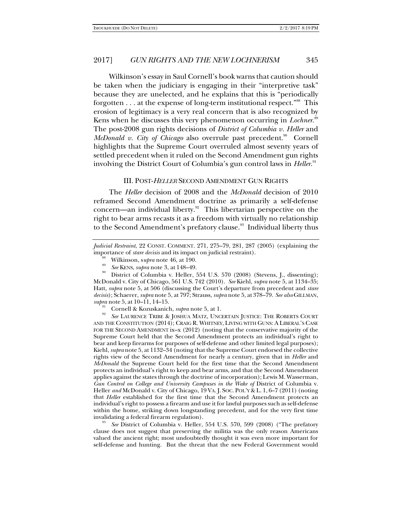Wilkinson's essay in Saul Cornell's book warns that caution should be taken when the judiciary is engaging in their "interpretive task" because they are unelected, and he explains that this is "periodically forgotten  $\dots$  at the expense of long-term institutional respect.<sup>"88</sup> This erosion of legitimacy is a very real concern that is also recognized by Kens when he discusses this very phenomenon occurring in *Lochner*. 89 The post-2008 gun rights decisions of *District of Columbia v. Heller* and *McDonald v. City of Chicago* also overrule past precedent.<sup>90</sup> Cornell highlights that the Supreme Court overruled almost seventy years of settled precedent when it ruled on the Second Amendment gun rights involving the District Court of Columbia's gun control laws in *Heller*. 91

## III. POST-*HELLER* SECOND AMENDMENT GUN RIGHTS

The *Heller* decision of 2008 and the *McDonald* decision of 2010 reframed Second Amendment doctrine as primarily a self-defense concern—an individual liberty. $92$  This libertarian perspective on the right to bear arms recasts it as a freedom with virtually no relationship to the Second Amendment's prefatory clause.<sup>93</sup> Individual liberty thus

- 
- 

<sup>90</sup> District of Columbia v. Heller, 554 U.S. 570 (2008) (Stevens, J., dissenting); McDonald v. City of Chicago, 561 U.S. 742 (2010). *See* Kiehl, *supra* note 5, at 1134–35; Hatt, *supra* note 5, at 506 (discussing the Court's departure from precedent and *stare decisis*); Schaerer, *supra* note 5, at 797; Strauss, *supra* note 5, at 378–79. *See also* GILLMAN,

<sup>91</sup> Cornell & Kozuskanich, *supra* note 5, at 1.<br><sup>92</sup> *See* LAURENCE TRIBE & JOSHUA MATZ, UNCERTAIN JUSTICE: THE ROBERTS COURT AND THE CONSTITUTION (2014); CRAIG R. WHITNEY, LIVING WITH GUNS: A LIBERAL'S CASE FOR THE SECOND AMENDMENT ix–x (2012) (noting that the conservative majority of the Supreme Court held that the Second Amendment protects an individual's right to bear and keep firearms for purposes of self-defense and other limited legal purposes); Kiehl, *supra* note 5, at 1132–34 (noting that the Supreme Court endorsed the collective rights view of the Second Amendment for nearly a century, given that in *Heller* and *McDonald* the Supreme Court held for the first time that the Second Amendment protects an individual's right to keep and bear arms, and that the Second Amendment applies against the states through the doctrine of incorporation); Lewis M. Wasserman, *Gun Control on College and University Campuses in the Wake of* District of Columbia v. Heller *and* McDonald v. City of Chicago, 19 VA. J. SOC. POL'Y & L. 1, 6–7 (2011) (noting that *Heller* established for the first time that the Second Amendment protects an individual's right to possess a firearm and use it for lawful purposes such as self-defense within the home, striking down longstanding precedent, and for the very first time invalidating a federal firearm regulation).

See District of Columbia v. Heller, 554 U.S. 570, 599 (2008) ("The prefatory clause does not suggest that preserving the militia was the only reason Americans valued the ancient right; most undoubtedly thought it was even more important for self-defense and hunting. But the threat that the new Federal Government would

*Judicial Restraint*, 22 CONST. COMMENT. 271, 275–79, 281, 287 (2005) (explaining the importance of *stare decisis* and its impact on judicial restraint).<br><sup>88</sup> Wilkinson, *supra* note 46, at 190.<br>*89* See KENS, *supra* note 3, at 148–49.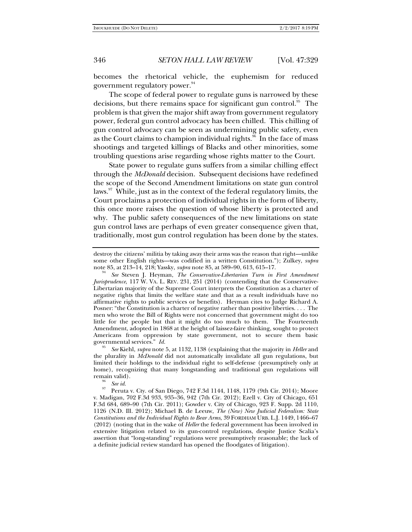becomes the rhetorical vehicle, the euphemism for reduced government regulatory power.<sup>94</sup>

The scope of federal power to regulate guns is narrowed by these decisions, but there remains space for significant gun control.<sup>95</sup> The problem is that given the major shift away from government regulatory power, federal gun control advocacy has been chilled. This chilling of gun control advocacy can be seen as undermining public safety, even as the Court claims to champion individual rights.<sup>96</sup> In the face of mass shootings and targeted killings of Blacks and other minorities, some troubling questions arise regarding whose rights matter to the Court.

State power to regulate guns suffers from a similar chilling effect through the *McDonald* decision. Subsequent decisions have redefined the scope of the Second Amendment limitations on state gun control laws.<sup>97</sup> While, just as in the context of the federal regulatory limits, the Court proclaims a protection of individual rights in the form of liberty, this once more raises the question of whose liberty is protected and why. The public safety consequences of the new limitations on state gun control laws are perhaps of even greater consequence given that, traditionally, most gun control regulation has been done by the states.

destroy the citizens' militia by taking away their arms was the reason that right—unlike some other English rights—was codified in a written Constitution."); Zulkey, *supra*  note 85, at 213–14, 218; Yassky, *supra* note 85, at 589–90, 613, 615–17. 94

*See* Steven J. Heyman, *The Conservative-Libertarian Turn in First Amendment Jurisprudence*, 117 W. VA. L. REV. 231, 251 (2014) (contending that the Conservative-Libertarian majority of the Supreme Court interprets the Constitution as a charter of negative rights that limits the welfare state and that as a result individuals have no affirmative rights to public services or benefits). Heyman cites to Judge Richard A. Posner: "the Constitution is a charter of negative rather than positive liberties. . . . The men who wrote the Bill of Rights were not concerned that government might do too little for the people but that it might do too much to them. The Fourteenth Amendment, adopted in 1868 at the height of laissez-faire thinking, sought to protect Americans from oppression by state government, not to secure them basic governmental services." *Id.* 

*See* Kiehl, *supra* note 5, at 1132, 1138 (explaining that the majority in *Heller* and the plurality in *McDonald* did not automatically invalidate all gun regulations, but limited their holdings to the individual right to self-defense (presumptively only at home), recognizing that many longstanding and traditional gun regulations will remain valid).<br>
See id.

<sup>&</sup>lt;sup>97</sup> Peruta v. Cty. of San Diego, 742 F.3d 1144, 1148, 1179 (9th Cir. 2014); Moore v. Madigan, 702 F.3d 933, 935–36, 942 (7th Cir. 2012); Ezell v. City of Chicago, 651 F.3d 684, 689–90 (7th Cir. 2011); Gowder v. City of Chicago, 923 F. Supp. 2d 1110, 1126 (N.D. Ill. 2012); Michael B. de Leeuw, *The (New) New Judicial Federalism: State Constitutions and the Individual Rights to Bear Arms*, 39 FORDHAM URB. L.J. 1449, 1466–67 (2012) (noting that in the wake of *Heller* the federal government has been involved in extensive litigation related to its gun-control regulations, despite Justice Scalia's assertion that "long-standing" regulations were presumptively reasonable; the lack of a definite judicial review standard has opened the floodgates of litigation).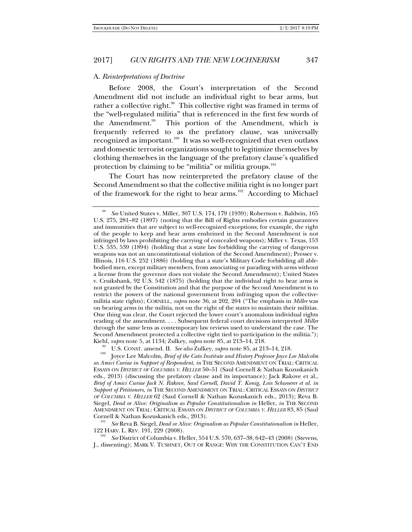### A. *Reinterpretations of Doctrine*

Before 2008, the Court's interpretation of the Second Amendment did not include an individual right to bear arms, but rather a collective right.<sup>98</sup> This collective right was framed in terms of the "well-regulated militia" that is referenced in the first few words of the Amendment.<sup>99</sup> This portion of the Amendment, which is frequently referred to as the prefatory clause, was universally recognized as important.<sup>100</sup> It was so well-recognized that even outlaws and domestic terrorist organizations sought to legitimize themselves by clothing themselves in the language of the prefatory clause's qualified protection by claiming to be "militia" or militia groups.<sup>101</sup>

The Court has now reinterpreted the prefatory clause of the Second Amendment so that the collective militia right is no longer part of the framework for the right to bear arms.<sup>102</sup> According to Michael

122 HARV. L. REV. 191, 229 (2008).

<sup>98</sup> *See* United States v. Miller, 307 U.S. 174, 179 (1939); Robertson v. Baldwin, 165 U.S. 275, 281–82 (1897) (noting that the Bill of Rights embodies certain guarantees and immunities that are subject to well-recognized exceptions; for example, the right of the people to keep and bear arms enshrined in the Second Amendment is not infringed by laws prohibiting the carrying of concealed weapons); Miller v. Texas, 153 U.S. 535, 539 (1894) (holding that a state law forbidding the carrying of dangerous weapons was not an unconstitutional violation of the Second Amendment); Presser v. Illinois, 116 U.S. 252 (1886) (holding that a state's Military Code forbidding all ablebodied men, except military members, from associating or parading with arms without a license from the governor does not violate the Second Amendment); United States v. Cruikshank, 92 U.S. 542 (1875) (holding that the individual right to bear arms is not granted by the Constitution and that the purpose of the Second Amendment is to restrict the powers of the national government from infringing upon the collectivemilitia state rights); CORNELL, *supra* note 36, at 202, 204 ("The emphasis in *Miller* was on bearing arms in the militia, not on the right of the states to maintain their militias. One thing was clear, the Court rejected the lower court's anomalous individual rights reading of the amendment. . . . Subsequent federal court decisions interpreted *Miller* through the same lens as contemporary law reviews used to understand the case. The Second Amendment protected a collective right tied to participation in the militia."); Kiehl, *supra* note 5, at 1134; Zulkey, *supra* note 85, at 213–14, 218.<br><sup>99</sup> U.S. CONST. amend. II. *See also* Zulkey, *supra* note 85, at 213–14, 218.<br><sup>100</sup> Joyce Lee Malcolm, *Brief of the Cato Institute and History Pro* 

*as Amici Curiae in Support of Respondent*, *in* THE SECOND AMENDMENT ON TRIAL: CRITICAL ESSAYS ON *DISTRICT OF COLUMBIA V. HELLER* 50–51 (Saul Cornell & Nathan Kozuskanich eds., 2013) (discussing the prefatory clause and its importance); Jack Rakove et al., *Brief of Amici Curiae Jack N. Rakove, Saul Cornell, David T. Konig, Lois Schwoerer et al. in Support of Petitioners*, *in* THE SECOND AMENDMENT ON TRIAL: CRITICAL ESSAYS ON *DISTRICT OF COLUMBIA V. HELLER* 62 (Saul Cornell & Nathan Kozuskanich eds., 2013); Reva B. Siegel, *Dead or Alive: Originalism as Popular Constitutionalism in Heller, in THE SECOND* AMENDMENT ON TRIAL: CRITICAL ESSAYS ON *DISTRICT OF COLUMBIA V. HELLER* 83, 85 (Saul Cornell & Nathan Kozuskanich eds., 2013). 101 *See* Reva B. Siegel, *Dead or Alive: Originalism as Popular Constitutionalism in* Heller,

*See* District of Columbia v. Heller, 554 U.S. 570, 637–38, 642–43 (2008) (Stevens, J., dissenting); MARK V. TUSHNET, OUT OF RANGE: WHY THE CONSTITUTION CAN'T END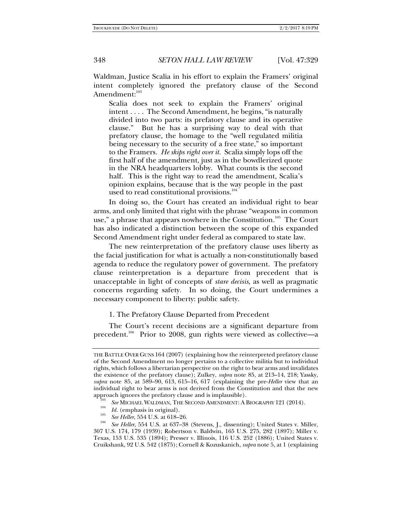Waldman, Justice Scalia in his effort to explain the Framers' original intent completely ignored the prefatory clause of the Second Amendment:<sup>103</sup>

Scalia does not seek to explain the Framers' original intent . . . . The Second Amendment, he begins, "is naturally divided into two parts: its prefatory clause and its operative clause." But he has a surprising way to deal with that prefatory clause, the homage to the "well regulated militia being necessary to the security of a free state," so important to the Framers. *He skips right over it.* Scalia simply lops off the first half of the amendment, just as in the bowdlerized quote in the NRA headquarters lobby. What counts is the second half. This is the right way to read the amendment, Scalia's opinion explains, because that is the way people in the past used to read constitutional provisions.<sup>104</sup>

In doing so, the Court has created an individual right to bear arms, and only limited that right with the phrase "weapons in common use," a phrase that appears nowhere in the Constitution.<sup>105</sup> The Court has also indicated a distinction between the scope of this expanded Second Amendment right under federal as compared to state law.

The new reinterpretation of the prefatory clause uses liberty as the facial justification for what is actually a non-constitutionally based agenda to reduce the regulatory power of government. The prefatory clause reinterpretation is a departure from precedent that is unacceptable in light of concepts of *stare decisis*, as well as pragmatic concerns regarding safety. In so doing, the Court undermines a necessary component to liberty: public safety.

### 1. The Prefatory Clause Departed from Precedent

The Court's recent decisions are a significant departure from precedent.<sup>106</sup> Prior to 2008, gun rights were viewed as collective—a

THE BATTLE OVER GUNS 164 (2007) (explaining how the reinterpreted prefatory clause of the Second Amendment no longer pertains to a collective militia but to individual rights, which follows a libertarian perspective on the right to bear arms and invalidates the existence of the prefatory clause); Zulkey, *supra* note 85, at 213–14, 218; Yassky, *supra* note 85, at 589–90, 613, 615–16, 617 (explaining the pre-*Heller* view that an individual right to bear arms is not derived from the Constitution and that the new

<sup>&</sup>lt;sup>103</sup> See MICHAEL WALDMAN, THE SECOND AMENDMENT: A BIOGRAPHY 121 (2014).<br><sup>104</sup> *Id.* (emphasis in original). See Heller, 554 U.S. at 618–26.

<sup>&</sup>lt;sup>106</sup> See Heller, 554 U.S. at 637–38 (Stevens, J., dissenting); United States v. Miller, 307 U.S. 174, 179 (1939); Robertson v. Baldwin, 165 U.S. 275, 282 (1897); Miller v. Texas, 153 U.S. 535 (1894); Presser v. Illinois, 116 U.S. 252 (1886); United States v. Cruikshank, 92 U.S. 542 (1875); Cornell & Kozuskanich, *supra* note 5, at 1 (explaining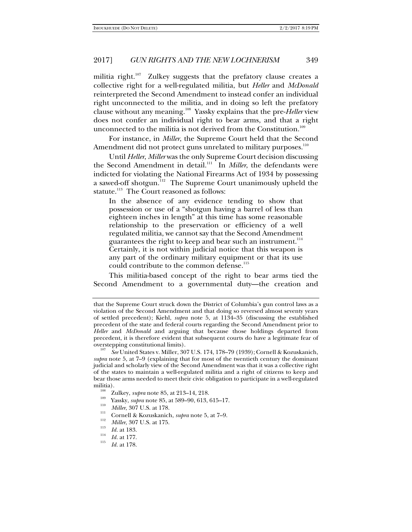militia right.<sup>107</sup> Zulkey suggests that the prefatory clause creates a collective right for a well-regulated militia, but *Heller* and *McDonald* reinterpreted the Second Amendment to instead confer an individual right unconnected to the militia, and in doing so left the prefatory clause without any meaning.108 Yassky explains that the pre-*Heller* view does not confer an individual right to bear arms, and that a right unconnected to the militia is not derived from the Constitution.<sup>109</sup>

For instance, in *Miller*, the Supreme Court held that the Second Amendment did not protect guns unrelated to military purposes.<sup>110</sup>

Until *Heller*, *Miller* was the only Supreme Court decision discussing the Second Amendment in detail.<sup>111</sup> In *Miller*, the defendants were indicted for violating the National Firearms Act of 1934 by possessing a sawed-off shotgun.112 The Supreme Court unanimously upheld the statute.<sup>113</sup> The Court reasoned as follows:

In the absence of any evidence tending to show that possession or use of a "shotgun having a barrel of less than eighteen inches in length" at this time has some reasonable relationship to the preservation or efficiency of a well regulated militia, we cannot say that the Second Amendment guarantees the right to keep and bear such an instrument.<sup>114</sup> Certainly, it is not within judicial notice that this weapon is any part of the ordinary military equipment or that its use could contribute to the common defense.<sup>115</sup>

This militia-based concept of the right to bear arms tied the Second Amendment to a governmental duty—the creation and

- <sup>106</sup> Zulkey, *supra* note 85, at 213–14, 218.<br>
<sup>109</sup> Yassky, *supra* note 85, at 589–90, 613, 615–17.<br>
<sup>110</sup> *Miller*, 307 U.S. at 178.<br>
Cornell & Kozuskanich, *supra* note 5, at 7–9.<br>
<sup>112</sup> *Miller*, 307 U.S. at 175.<br>
<sup></sup>
- 
- 
- 
- 
- $\frac{114}{115}$  *Id.* at 177.
- *Id.* at 178.

that the Supreme Court struck down the District of Columbia's gun control laws as a violation of the Second Amendment and that doing so reversed almost seventy years of settled precedent); Kiehl, *supra* note 5, at 1134–35 (discussing the established precedent of the state and federal courts regarding the Second Amendment prior to *Heller* and *McDonald* and arguing that because those holdings departed from precedent, it is therefore evident that subsequent courts do have a legitimate fear of overstepping constitutional limits).

*See* United States v. Miller, 307 U.S. 174, 178–79 (1939);Cornell & Kozuskanich, *supra* note 5, at 7–9 (explaining that for most of the twentieth century the dominant judicial and scholarly view of the Second Amendment was that it was a collective right of the states to maintain a well-regulated militia and a right of citizens to keep and bear those arms needed to meet their civic obligation to participate in a well-regulated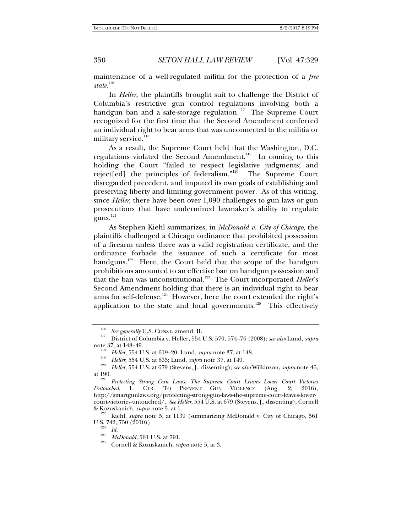maintenance of a well-regulated militia for the protection of a *free*  state.<sup>116</sup>

In *Heller*, the plaintiffs brought suit to challenge the District of Columbia's restrictive gun control regulations involving both a handgun ban and a safe-storage regulation.<sup>117</sup> The Supreme Court recognized for the first time that the Second Amendment conferred an individual right to bear arms that was unconnected to the militia or military service.<sup>118</sup>

As a result, the Supreme Court held that the Washington, D.C. regulations violated the Second Amendment.<sup>119</sup> In coming to this holding the Court "failed to respect legislative judgments; and reject[ed] the principles of federalism."120 The Supreme Court disregarded precedent, and imputed its own goals of establishing and preserving liberty and limiting government power. As of this writing, since *Heller*, there have been over 1,090 challenges to gun laws or gun prosecutions that have undermined lawmaker's ability to regulate guns.<sup>121</sup>

As Stephen Kiehl summarizes, in *McDonald v. City of Chicago*, the plaintiffs challenged a Chicago ordinance that prohibited possession of a firearm unless there was a valid registration certificate, and the ordinance forbade the issuance of such a certificate for most handguns.<sup>122</sup> Here, the Court held that the scope of the handgun prohibitions amounted to an effective ban on handgun possession and that the ban was unconstitutional.<sup>123</sup> The Court incorporated *Heller's* Second Amendment holding that there is an individual right to bear arms for self-defense.<sup>124</sup> However, here the court extended the right's application to the state and local governments.<sup>125</sup> This effectively

<sup>116</sup>

*See generally* U.S. CONST. amend. II. 117 District of Columbia v. Heller, 554 U.S. 570, 574–76 (2008); *see also* Lund, *supra*  note 37, at 148–49.<br>
<sup>118</sup> *Heller*, 554 U.S. at 619–20; Lund, *supra* note 37, at 148.<br>
<sup>119</sup> *Heller*, 554 U.S. at 635; Lund, *supra* note 37, at 149.<br>
<sup>119</sup> *Heller*, 554 U.S. at 679 (Stevens, J., dissenting); *see also* 

at 190.<br><sup>121</sup> *Protecting Strong Gun Laws: The Supreme Court Leaves Lower Court Victories*<br>*Untouched*, L. CTR. TO PREVENT GUN VIOLENCE (Aug. 2, 2016), *Untouched*, L. CTR. TO PREVENT GUN VIOLENCE (Aug. 2, http://smartgunlaws.org/protecting-strong-gun-laws-the-supreme-court-leaves-lowercourt-victories-untouched/. *See Heller*, 554 U.S. at 679 (Stevens, J., dissenting); Cornell & Kozuskanich, *supra* note 5, at 1. 122 Kiehl, *supra* note 5, at 1139 (summarizing McDonald v. City of Chicago, 561

U.S. 742, 750 (2010)).<br>  $\frac{123}{Id}$ .

<sup>&</sup>lt;sup>124</sup> *McDonald*, 561 U.S. at 791.<br><sup>125</sup> Cornell & Kozuskanich, *supra* note 5, at 3.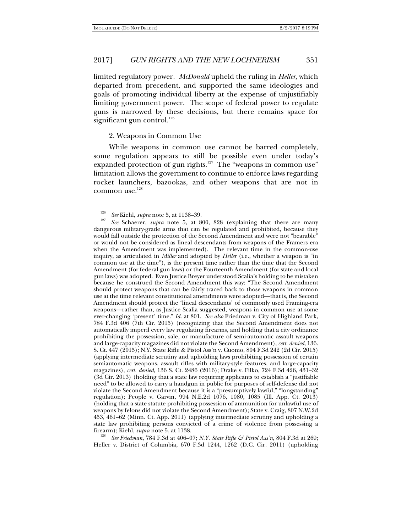limited regulatory power*. McDonald* upheld the ruling in *Heller*, which departed from precedent, and supported the same ideologies and goals of promoting individual liberty at the expense of unjustifiably limiting government power. The scope of federal power to regulate guns is narrowed by these decisions, but there remains space for significant gun control. $126$ 

2. Weapons in Common Use

While weapons in common use cannot be barred completely, some regulation appears to still be possible even under today's expanded protection of gun rights. $127$  The "weapons in common use" limitation allows the government to continue to enforce laws regarding rocket launchers, bazookas, and other weapons that are not in common use.<sup>128</sup>

 *See Friedman*, 784 F.3d at 406–07; *N.Y. State Rifle & Pistol Ass'n*, 804 F.3d at 269; Heller v. District of Columbia, 670 F.3d 1244, 1262 (D.C. Cir. 2011) (upholding

<sup>126</sup> <sup>126</sup> *See* Kiehl, *supra* note 5, at 1138–39.

*See* Schaerer, *supra* note 5, at 800, 828 (explaining that there are many dangerous military-grade arms that can be regulated and prohibited, because they would fall outside the protection of the Second Amendment and were not "bearable" or would not be considered as lineal descendants from weapons of the Framers era when the Amendment was implemented). The relevant time in the common-use inquiry, as articulated in *Miller* and adopted by *Heller* (i.e., whether a weapon is "in common use at the time"), is the present time rather than the time that the Second Amendment (for federal gun laws) or the Fourteenth Amendment (for state and local gun laws) was adopted. Even Justice Breyer understood Scalia's holding to be mistaken because he construed the Second Amendment this way: "The Second Amendment should protect weapons that can be fairly traced back to those weapons in common use at the time relevant constitutional amendments were adopted—that is, the Second Amendment should protect the 'lineal descendants' of commonly used Framing-era weapons—rather than, as Justice Scalia suggested, weapons in common use at some ever-changing 'present' time." *Id.* at 801. *See also* Friedman v. City of Highland Park, 784 F.3d 406 (7th Cir. 2015) (recognizing that the Second Amendment does not automatically imperil every law regulating firearms, and holding that a city ordinance prohibiting the possession, sale, or manufacture of semi-automatic assault weapons and large-capacity magazines did not violate the Second Amendment), *cert. denied*, 136. S. Ct. 447 (2015); N.Y. State Rifle & Pistol Ass'n v. Cuomo, 804 F.3d 242 (2d Cir. 2015) (applying intermediate scrutiny and upholding laws prohibiting possession of certain semiautomatic weapons, assault rifles with military-style features, and large-capacity magazines), *cert. denied*, 136 S. Ct. 2486 (2016); Drake v. Filko, 724 F.3d 426, 431–32 (3d Cir. 2013) (holding that a state law requiring applicants to establish a "justifiable need" to be allowed to carry a handgun in public for purposes of self-defense did not violate the Second Amendment because it is a "presumptively lawful," "longstanding" regulation); People v. Garvin, 994 N.E.2d 1076, 1080, 1085 (Ill. App. Ct. 2013) (holding that a state statute prohibiting possession of ammunition for unlawful use of weapons by felons did not violate the Second Amendment); State v. Craig, 807 N.W.2d 453, 461–62 (Minn. Ct. App. 2011) (applying intermediate scrutiny and upholding a state law prohibiting persons convicted of a crime of violence from possessing a firearm); Kiehl, *supra* note 5, at 1138.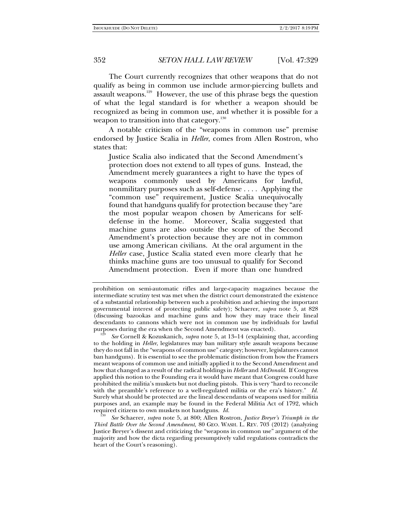The Court currently recognizes that other weapons that do not qualify as being in common use include armor-piercing bullets and assault weapons.<sup>129</sup> However, the use of this phrase begs the question of what the legal standard is for whether a weapon should be recognized as being in common use, and whether it is possible for a weapon to transition into that category.<sup>130</sup>

A notable criticism of the "weapons in common use" premise endorsed by Justice Scalia in *Heller*, comes from Allen Rostron, who states that:

Justice Scalia also indicated that the Second Amendment's protection does not extend to all types of guns. Instead, the Amendment merely guarantees a right to have the types of weapons commonly used by Americans for lawful, nonmilitary purposes such as self-defense . . . . Applying the "common use" requirement, Justice Scalia unequivocally found that handguns qualify for protection because they "are the most popular weapon chosen by Americans for selfdefense in the home." Moreover, Scalia suggested that machine guns are also outside the scope of the Second Amendment's protection because they are not in common use among American civilians. At the oral argument in the *Heller* case, Justice Scalia stated even more clearly that he thinks machine guns are too unusual to qualify for Second Amendment protection. Even if more than one hundred

*Third Battle Over the Second Amendment*, 80 GEO. WASH. L. REV. 703 (2012) (analyzing Justice Breyer's dissent and criticizing the "weapons in common use" argument of the majority and how the dicta regarding presumptively valid regulations contradicts the heart of the Court's reasoning).

prohibition on semi-automatic rifles and large-capacity magazines because the intermediate scrutiny test was met when the district court demonstrated the existence of a substantial relationship between such a prohibition and achieving the important governmental interest of protecting public safety); Schaerer, *supra* note 5, at 828 (discussing bazookas and machine guns and how they may trace their lineal descendants to cannons which were not in common use by individuals for lawful purposes during the era when the Second Amendment was enacted). 129 *See* Cornell & Kozuskanich*, supra* note 5, at 13–14 (explaining that, according

to the holding in *Heller*, legislatures may ban military style assault weapons because they do not fall in the "weapons of common use" category; however, legislatures cannot ban handguns). It is essential to see the problematic distinction from how the Framers meant weapons of common use and initially applied it to the Second Amendment and how that changed as a result of the radical holdings in *Heller* and *McDonald*. If Congress applied this notion to the Founding era it would have meant that Congress could have prohibited the militia's muskets but not dueling pistols. This is very "hard to reconcile with the preamble's reference to a well-regulated militia or the era's history." *Id.* Surely what should be protected are the lineal descendants of weapons used for militia purposes and, an example may be found in the Federal Militia Act of 1792, which required citizens to own muskets not handguns. *Id.* <sup>130</sup>*See* Schaerer, *supra* note 5, at 800; Allen Rostron, *Justice Breyer's Triumph in the*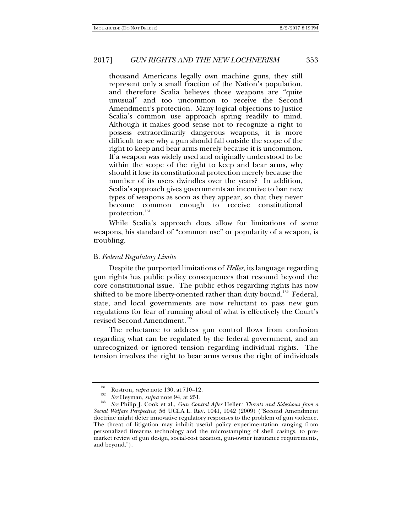thousand Americans legally own machine guns, they still represent only a small fraction of the Nation's population, and therefore Scalia believes those weapons are "quite unusual" and too uncommon to receive the Second Amendment's protection. Many logical objections to Justice Scalia's common use approach spring readily to mind. Although it makes good sense not to recognize a right to possess extraordinarily dangerous weapons, it is more difficult to see why a gun should fall outside the scope of the right to keep and bear arms merely because it is uncommon. If a weapon was widely used and originally understood to be within the scope of the right to keep and bear arms, why should it lose its constitutional protection merely because the number of its users dwindles over the years? In addition, Scalia's approach gives governments an incentive to ban new types of weapons as soon as they appear, so that they never become common enough to receive constitutional protection.<sup>131</sup>

While Scalia's approach does allow for limitations of some weapons, his standard of "common use" or popularity of a weapon, is troubling.

### B. *Federal Regulatory Limits*

Despite the purported limitations of *Heller*, its language regarding gun rights has public policy consequences that resound beyond the core constitutional issue. The public ethos regarding rights has now shifted to be more liberty-oriented rather than duty bound.<sup>132</sup> Federal, state, and local governments are now reluctant to pass new gun regulations for fear of running afoul of what is effectively the Court's revised Second Amendment.<sup>133</sup>

The reluctance to address gun control flows from confusion regarding what can be regulated by the federal government, and an unrecognized or ignored tension regarding individual rights. The tension involves the right to bear arms versus the right of individuals

<sup>&</sup>lt;sup>131</sup> Rostron, *supra* note 130, at 710–12.<br><sup>132</sup> See Heyman, *supra* note 94, at 251.

<sup>&</sup>lt;sup>133</sup> *See Philip J. Cook et al., Gun Control After Heller: Threats and Sideshows from a Social Welfare Perspective*, 56 UCLA L. REV. 1041, 1042 (2009) ("Second Amendment doctrine might deter innovative regulatory responses to the problem of gun violence. The threat of litigation may inhibit useful policy experimentation ranging from personalized firearms technology and the microstamping of shell casings, to premarket review of gun design, social-cost taxation, gun-owner insurance requirements, and beyond.").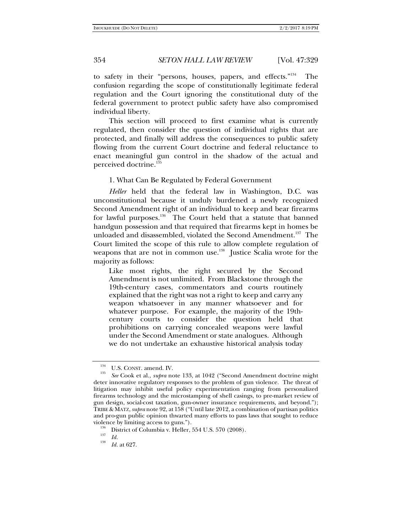to safety in their "persons, houses, papers, and effects."<sup>134</sup> The confusion regarding the scope of constitutionally legitimate federal regulation and the Court ignoring the constitutional duty of the federal government to protect public safety have also compromised individual liberty.

This section will proceed to first examine what is currently regulated, then consider the question of individual rights that are protected, and finally will address the consequences to public safety flowing from the current Court doctrine and federal reluctance to enact meaningful gun control in the shadow of the actual and perceived doctrine.<sup>135</sup>

1. What Can Be Regulated by Federal Government

*Heller* held that the federal law in Washington, D.C. was unconstitutional because it unduly burdened a newly recognized Second Amendment right of an individual to keep and bear firearms for lawful purposes.<sup>136</sup> The Court held that a statute that banned handgun possession and that required that firearms kept in homes be unloaded and disassembled, violated the Second Amendment.<sup>137</sup> The Court limited the scope of this rule to allow complete regulation of weapons that are not in common use.<sup>138</sup> Justice Scalia wrote for the majority as follows:

Like most rights, the right secured by the Second Amendment is not unlimited. From Blackstone through the 19th-century cases, commentators and courts routinely explained that the right was not a right to keep and carry any weapon whatsoever in any manner whatsoever and for whatever purpose. For example, the majority of the 19thcentury courts to consider the question held that prohibitions on carrying concealed weapons were lawful under the Second Amendment or state analogues. Although we do not undertake an exhaustive historical analysis today

<sup>&</sup>lt;sup>134</sup> U.S. CONST. amend. IV.

*See* Cook et al., *supra* note 133, at 1042 ("Second Amendment doctrine might deter innovative regulatory responses to the problem of gun violence. The threat of litigation may inhibit useful policy experimentation ranging from personalized firearms technology and the microstamping of shell casings, to pre-market review of gun design, social-cost taxation, gun-owner insurance requirements, and beyond."); TRIBE & MATZ,*supra* note 92, at 158 ("Until late 2012, a combination of partisan politics and pro-gun public opinion thwarted many efforts to pass laws that sought to reduce violence by limiting access to guns.").<br><sup>136</sup> District of Columbia v. Heller, 554 U.S. 570 (2008).<br><sup>137</sup> *Id.* 138

*Id.* at 627.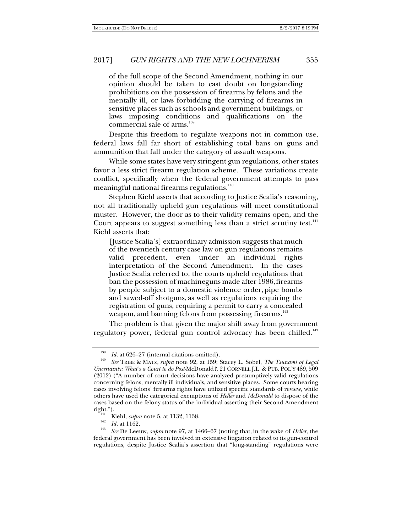of the full scope of the Second Amendment, nothing in our opinion should be taken to cast doubt on longstanding prohibitions on the possession of firearms by felons and the mentally ill, or laws forbidding the carrying of firearms in sensitive places such as schools and government buildings, or laws imposing conditions and qualifications on the commercial sale of arms.<sup>139</sup>

Despite this freedom to regulate weapons not in common use, federal laws fall far short of establishing total bans on guns and ammunition that fall under the category of assault weapons.

While some states have very stringent gun regulations, other states favor a less strict firearm regulation scheme. These variations create conflict, specifically when the federal government attempts to pass meaningful national firearms regulations.<sup>140</sup>

Stephen Kiehl asserts that according to Justice Scalia's reasoning, not all traditionally upheld gun regulations will meet constitutional muster. However, the door as to their validity remains open, and the Court appears to suggest something less than a strict scrutiny test. $141$ Kiehl asserts that:

[Justice Scalia's] extraordinary admission suggests that much of the twentieth century case law on gun regulations remains valid precedent, even under an individual rights interpretation of the Second Amendment. In the cases Justice Scalia referred to, the courts upheld regulations that ban the possession of machineguns made after 1986, firearms by people subject to a domestic violence order, pipe bombs and sawed-off shotguns, as well as regulations requiring the registration of guns, requiring a permit to carry a concealed weapon, and banning felons from possessing firearms.<sup>142</sup>

The problem is that given the major shift away from government regulatory power, federal gun control advocacy has been chilled.<sup>143</sup>

<sup>139</sup>*Id.* at 626–27 (internal citations omitted). 140 *See* TRIBE & MATZ, *supra* note 92, at 159; Stacey L. Sobel, *The Tsunami of Legal Uncertainty: What's a Court to do Post-*McDonald*?*, 21 CORNELL J.L. & PUB. POL'Y 489, 509 (2012) ("A number of court decisions have analyzed presumptively valid regulations concerning felons, mentally ill individuals, and sensitive places. Some courts hearing cases involving felons' firearms rights have utilized specific standards of review, while others have used the categorical exemptions of *Heller* and *McDonald* to dispose of the cases based on the felony status of the individual asserting their Second Amendment

<sup>&</sup>lt;sup>141</sup> Kiehl, *supra* note 5, at 1132, 1138.<br>
<sup>142</sup> *Id.* at 1162.<br>
<sup>143</sup> *See* De Leeuw, *supra* note 97, at 1466–67 (noting that, in the wake of *Heller*, the federal government has been involved in extensive litigation related to its gun-control regulations, despite Justice Scalia's assertion that "long-standing" regulations were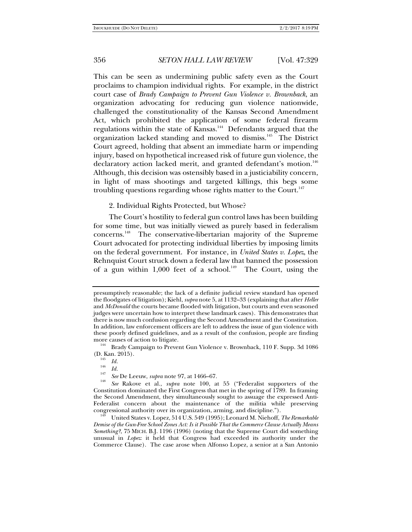This can be seen as undermining public safety even as the Court proclaims to champion individual rights. For example, in the district court case of *Brady Campaign to Prevent Gun Violence v. Brownback*, an organization advocating for reducing gun violence nationwide, challenged the constitutionality of the Kansas Second Amendment Act, which prohibited the application of some federal firearm regulations within the state of Kansas. $144$  Defendants argued that the organization lacked standing and moved to dismiss.<sup>145</sup> The District Court agreed, holding that absent an immediate harm or impending injury, based on hypothetical increased risk of future gun violence, the declaratory action lacked merit, and granted defendant's motion.<sup>146</sup> Although, this decision was ostensibly based in a justiciability concern, in light of mass shootings and targeted killings, this begs some troubling questions regarding whose rights matter to the Court.<sup>147</sup>

### 2. Individual Rights Protected, but Whose?

The Court's hostility to federal gun control laws has been building for some time, but was initially viewed as purely based in federalism concerns.148 The conservative-libertarian majority of the Supreme Court advocated for protecting individual liberties by imposing limits on the federal government. For instance, in *United States v. Lopez*, the Rehnquist Court struck down a federal law that banned the possession of a gun within 1,000 feet of a school.<sup>149</sup> The Court, using the

presumptively reasonable; the lack of a definite judicial review standard has opened the floodgates of litigation); Kiehl, *supra* note 5, at 1132–33 (explaining that after *Heller* and *McDonald* the courts became flooded with litigation, but courts and even seasoned judges were uncertain how to interpret these landmark cases). This demonstrates that there is now much confusion regarding the Second Amendment and the Constitution. In addition, law enforcement officers are left to address the issue of gun violence with these poorly defined guidelines, and as a result of the confusion, people are finding more causes of action to litigate.  $144$  Brady Campaign to Prevent Gun Violence v. Brownback, 110 F. Supp. 3d 1086

<sup>(</sup>D. Kan. 2015).<br><sup>145</sup> *Id.*<br><sup>146</sup> *Id.* 

<sup>&</sup>lt;sup>147</sup> *See* De Leeuw, *supra* note 97, at 1466–67.

*See* Rakove et al., *supra* note 100, at 55 ("Federalist supporters of the Constitution dominated the First Congress that met in the spring of 1789. In framing the Second Amendment, they simultaneously sought to assuage the expressed Anti-Federalist concern about the maintenance of the militia while preserving congressional authority over its organization, arming, and discipline."). 149 United States v. Lopez, 514 U.S. 549 (1995); Leonard M. Niehoff, *The Remarkable* 

*Demise of the Gun-Free School Zones Act: Is it Possible That the Commerce Clause Actually Means Something?*, 75 MICH. B.J. 1196 (1996) (noting that the Supreme Court did something unusual in *Lopez*: it held that Congress had exceeded its authority under the Commerce Clause). The case arose when Alfonso Lopez, a senior at a San Antonio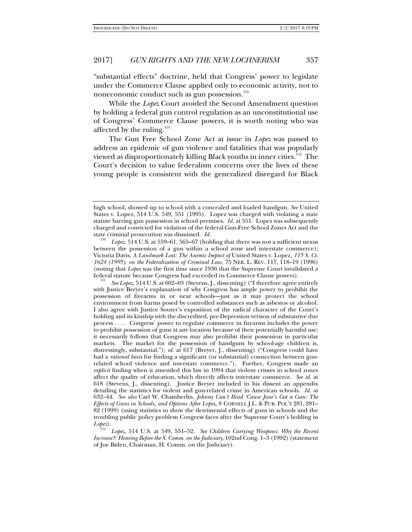"substantial effects" doctrine, held that Congress' power to legislate under the Commerce Clause applied only to economic activity, not to noneconomic conduct such as gun possession.<sup>150</sup>

While the *Lopez* Court avoided the Second Amendment question by holding a federal gun control regulation as an unconstitutional use of Congress' Commerce Clause powers, it is worth noting who was affected by the ruling.<sup>151</sup>

The Gun Free School Zone Act at issue in *Lopez* was passed to address an epidemic of gun violence and fatalities that was popularly viewed as disproportionately killing Black youths in inner cities.<sup>152</sup> The Court's decision to value federalism concerns over the lives of these young people is consistent with the generalized disregard for Black

high school, showed up to school with a concealed and loaded handgun. *See* United States v. Lopez, 514 U.S. 549, 551 (1995). Lopez was charged with violating a state statute barring gun possession in school premises. *Id.* at 551.Lopez was subsequently charged and convicted for violation of the federal Gun-Free School Zones Act and the state criminal prosecution was dismissed. *Id.* 150 *Lopez*, 514 U.S. at 559–61, 565–67 (holding that there was not a sufficient nexus

between the possession of a gun within a school zone and interstate commerce); Victoria Davis, *A Landmark Lost: The Anemic Impact of* United States v. Lopez*, 115 S. Ct. 1624 (1995), on the Federalization of Criminal Law*, 75 NEB. L. REV. 117, 118–19 (1996) (noting that *Lopez* was the first time since 1936 that the Supreme Court invalidated a federal statute because Congress had exceeded its Commerce Clause powers). 151

*See Lopez*, 514 U.S. at 602–03 (Stevens, J., dissenting) ("I therefore agree entirely with Justice Breyer's explanation of why Congress has ample power to prohibit the possession of firearms in or near schools—just as it may protect the school environment from harms posed by controlled substances such as asbestos or alcohol. I also agree with Justice Souter's exposition of the radical character of the Court's holding and its kinship with the discredited, pre-Depression version of substantive due process . . . . Congress' power to regulate commerce in firearms includes the power to prohibit possession of guns at any location because of their potentially harmful use; it necessarily follows that Congress may also prohibit their possession in particular markets. The market for the possession of handguns by school-age children is, distressingly, substantial."); *id.* at 617 (Breyer, J., dissenting) ("Congress could have had a *rational basis* for finding a significant (or substantial) connection between gunrelated school violence and interstate commerce."). Further, Congress made an *explicit* finding when it amended this law in 1994 that violent crimes in school zones affect the quality of education, which directly affects interstate commerce. *See id.* at 618 (Stevens, J., dissenting). Justice Breyer included in his dissent an appendix detailing the statistics for violent and gun-related crime in American schools. *Id.* at 632–44. *See also* Carl W. Chamberlin, *Johnny Can't Read 'Cause Jane's Got a Gun: The Effects of Guns in Schools, and Options After Lopez*, 8 CORNELL J.L. & PUB. POL'Y 281, 281– 82 (1999) (using statistics to show the detrimental effects of guns in schools and the troubling public policy problem Congress faces after the Supreme Court's holding in  $Lobe$ ).

Lopez, 514 U.S. at 549, 551–52. *See Children Carrying Weapons: Why the Recent Increase?: Hearing Before the S. Comm. on the Judiciary*, 102nd Cong. 1–3 (1992) (statement of Joe Biden, Chairman, H. Comm. on the Judiciary).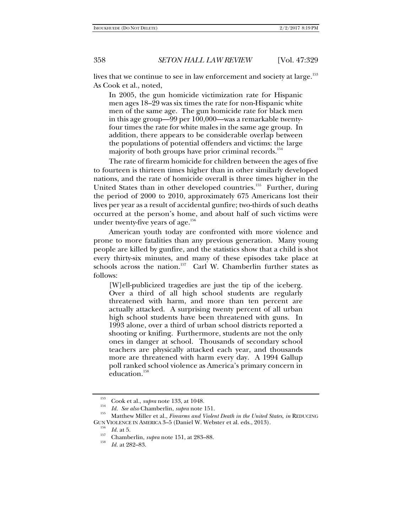lives that we continue to see in law enforcement and society at large.<sup>153</sup> As Cook et al., noted,

In 2005, the gun homicide victimization rate for Hispanic men ages 18–29 was six times the rate for non-Hispanic white men of the same age. The gun homicide rate for black men in this age group—99 per 100,000—was a remarkable twentyfour times the rate for white males in the same age group. In addition, there appears to be considerable overlap between the populations of potential offenders and victims: the large majority of both groups have prior criminal records.<sup>154</sup>

The rate of firearm homicide for children between the ages of five to fourteen is thirteen times higher than in other similarly developed nations, and the rate of homicide overall is three times higher in the United States than in other developed countries.<sup>155</sup> Further, during the period of 2000 to 2010, approximately 675 Americans lost their lives per year as a result of accidental gunfire; two-thirds of such deaths occurred at the person's home, and about half of such victims were under twenty-five years of age. $156$ 

American youth today are confronted with more violence and prone to more fatalities than any previous generation. Many young people are killed by gunfire, and the statistics show that a child is shot every thirty-six minutes, and many of these episodes take place at schools across the nation.<sup>157</sup> Carl W. Chamberlin further states as follows:

[W]ell-publicized tragedies are just the tip of the iceberg. Over a third of all high school students are regularly threatened with harm, and more than ten percent are actually attacked. A surprising twenty percent of all urban high school students have been threatened with guns. In 1993 alone, over a third of urban school districts reported a shooting or knifing. Furthermore, students are not the only ones in danger at school. Thousands of secondary school teachers are physically attacked each year, and thousands more are threatened with harm every day. A 1994 Gallup poll ranked school violence as America's primary concern in education.<sup>158</sup>

<sup>153</sup> Cook et al., *supra* note 133, at 1048. <sup>154</sup>*Id. See also* Chamberlin, *supra* note 151. 155 Matthew Miller et al., *Firearms and Violent Death in the United States*, *in* REDUCING GUN VIOLENCE IN AMERICA 3-5 (Daniel W. Webster et al. eds., 2013).<br> $\frac{156}{16}$  *Id.* at 5.

<sup>&</sup>lt;sup>157</sup> Chamberlin, *supra* note 151, at 283–88.<br> *Id.* at 282–83.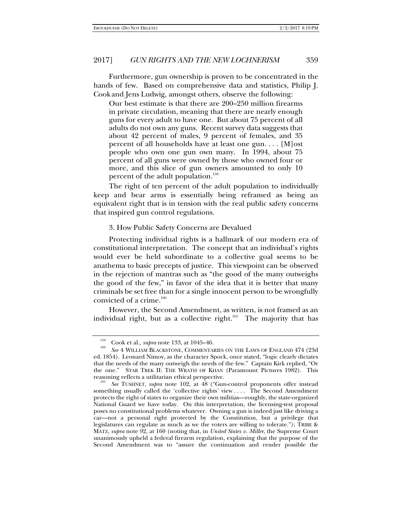Furthermore, gun ownership is proven to be concentrated in the hands of few. Based on comprehensive data and statistics, Philip J. Cook and Jens Ludwig, amongst others, observe the following:

Our best estimate is that there are 200–250 million firearms in private circulation, meaning that there are nearly enough guns for every adult to have one. But about 75 percent of all adults do not own any guns. Recent survey data suggests that about 42 percent of males, 9 percent of females, and 35 percent of all households have at least one gun. . . . [M]ost people who own one gun own many. In 1994, about 75 percent of all guns were owned by those who owned four or more, and this slice of gun owners amounted to only 10 percent of the adult population.<sup>159</sup>

The right of ten percent of the adult population to individually keep and bear arms is essentially being reframed as being an equivalent right that is in tension with the real public safety concerns that inspired gun control regulations.

### 3. How Public Safety Concerns are Devalued

Protecting individual rights is a hallmark of our modern era of constitutional interpretation. The concept that an individual's rights would ever be held subordinate to a collective goal seems to be anathema to basic precepts of justice. This viewpoint can be observed in the rejection of mantras such as "the good of the many outweighs the good of the few," in favor of the idea that it is better that many criminals be set free than for a single innocent person to be wrongfully convicted of a crime. $160$ 

However, the Second Amendment, as written, is not framed as an individual right, but as a collective right.<sup>161</sup> The majority that has

<sup>&</sup>lt;sup>159</sup> Cook et al., *supra* note 133, at 1045–46.

*See* 4 WILLIAM BLACKSTONE, COMMENTARIES ON THE LAWS OF ENGLAND 474 (23d ed. 1854). Leonard Nimoy, as the character Spock, once stated, "logic clearly dictates that the needs of the many outweigh the needs of the few." Captain Kirk replied, "Or the one." STAR TREK II: THE WRATH OF KHAN (Paramount Pictures 1982). This reasoning reflects a utilitarian ethical perspective. 161 *See* TUSHNET, *supra* note 102, at 48 ("Gun-control proponents offer instead

something usually called the 'collective rights' view .... The Second Amendment protects the right of states to organize their own militias—roughly, the state-organized National Guard we have today. On this interpretation, the licensing-test proposal poses no constitutional problems whatever. Owning a gun is indeed just like driving a car—not a personal right protected by the Constitution, but a privilege that legislatures can regulate as much as we the voters are willing to tolerate."); TRIBE & MATZ*, supra* note 92, at 160 (noting that, in *United States v. Miller*, the Supreme Court unanimously upheld a federal firearm regulation, explaining that the purpose of the Second Amendment was to "assure the continuation and render possible the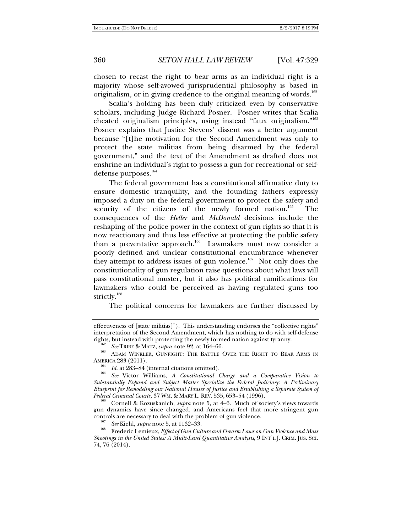chosen to recast the right to bear arms as an individual right is a majority whose self-avowed jurisprudential philosophy is based in originalism, or in giving credence to the original meaning of words.<sup>162</sup>

Scalia's holding has been duly criticized even by conservative scholars, including Judge Richard Posner. Posner writes that Scalia cheated originalism principles, using instead "faux originalism."163 Posner explains that Justice Stevens' dissent was a better argument because "[t]he motivation for the Second Amendment was only to protect the state militias from being disarmed by the federal government," and the text of the Amendment as drafted does not enshrine an individual's right to possess a gun for recreational or selfdefense purposes.<sup>164</sup>

The federal government has a constitutional affirmative duty to ensure domestic tranquility, and the founding fathers expressly imposed a duty on the federal government to protect the safety and security of the citizens of the newly formed nation.<sup>165</sup> The consequences of the *Heller* and *McDonald* decisions include the reshaping of the police power in the context of gun rights so that it is now reactionary and thus less effective at protecting the public safety than a preventative approach.<sup>166</sup> Lawmakers must now consider a poorly defined and unclear constitutional encumbrance whenever they attempt to address issues of gun violence.<sup>167</sup> Not only does the constitutionality of gun regulation raise questions about what laws will pass constitutional muster, but it also has political ramifications for lawmakers who could be perceived as having regulated guns too strictly.<sup>168</sup>

The political concerns for lawmakers are further discussed by

effectiveness of [state militias]"). This understanding endorses the "collective rights" interpretation of the Second Amendment, which has nothing to do with self-defense

<sup>&</sup>lt;sup>162</sup> See TRIBE & MATZ, *supra* note 92, at 164–66.<br><sup>163</sup> ADAM WINKLER, GUNFIGHT: THE BATTLE OVER THE RIGHT TO BEAR ARMS IN AMERICA 283 (2011). AMERICA 283 (2011).<br><sup>164</sup> *Id.* at 283–84 (internal citations omitted).<br><sup>165</sup> *See* Victor Williams, *A Constitutional Charge and a Comparative Vision to* 

*Substantially Expand and Subject Matter Specialize the Federal Judiciary: A Preliminary Blueprint for Remodeling our National Houses of Justice and Establishing a Separate System of* 

Cornell & Kozuskanich, *supra* note 5, at 4–6. Much of society's views towards gun dynamics have since changed, and Americans feel that more stringent gun controls are necessary to deal with the problem of gun violence.

<sup>&</sup>lt;sup>167</sup> *See* Kiehl, *supra* note 5, at 1132–33.<br><sup>168</sup> Frederic Lemieux, *Effect of Gun Culture and Firearm Laws on Gun Violence and Mass Shootings in the United States: A Multi-Level Quantitative Analysis*, 9 INT'L J. CRIM. JUS. SCI. 74, 76 (2014).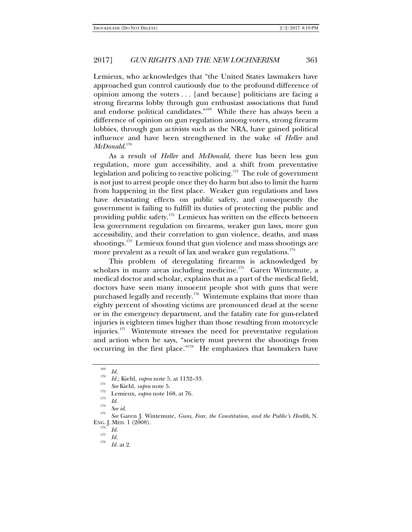Lemieux, who acknowledges that "the United States lawmakers have approached gun control cautiously due to the profound difference of opinion among the voters . . . [and because] politicians are facing a strong firearms lobby through gun enthusiast associations that fund and endorse political candidates."<sup>169</sup> While there has always been a difference of opinion on gun regulation among voters, strong firearm lobbies, through gun activists such as the NRA, have gained political influence and have been strengthened in the wake of *Heller* and *McDonald*. 170

As a result of *Heller* and *McDonald*, there has been less gun regulation, more gun accessibility, and a shift from preventative legislation and policing to reactive policing.<sup>171</sup> The role of government is not just to arrest people once they do harm but also to limit the harm from happening in the first place. Weaker gun regulations and laws have devastating effects on public safety, and consequently the government is failing to fulfill its duties of protecting the public and providing public safety.<sup>172</sup> Lemieux has written on the effects between less government regulation on firearms, weaker gun laws, more gun accessibility, and their correlation to gun violence, deaths, and mass shootings.<sup>173</sup> Lemieux found that gun violence and mass shootings are more prevalent as a result of lax and weaker gun regulations.<sup>174</sup>

This problem of deregulating firearms is acknowledged by scholars in many areas including medicine.<sup>175</sup> Garen Wintemute, a medical doctor and scholar, explains that as a part of the medical field, doctors have seen many innocent people shot with guns that were purchased legally and recently.<sup>176</sup> Wintemute explains that more than eighty percent of shooting victims are pronounced dead at the scene or in the emergency department, and the fatality rate for gun-related injuries is eighteen times higher than those resulting from motorcycle injuries.<sup>177</sup> Wintemute stresses the need for preventative regulation and action when he says, "society must prevent the shootings from occurring in the first place."178 He emphasizes that lawmakers have

<sup>169</sup>  $\frac{109}{170}$  *Id.* 

*Id.*; Kiehl, *supra* note 5, at 1132–33.<br> *See* Kiehl, *supra* note 5.<br>
Lemieux, *supra* note 168, at 76.<br> *Id.* 

*Id.* <sup>174</sup> *See id.* <sup>175</sup>*See* Garen J. Wintemute, *Guns, Fear, the Constitution, and the Public's Health*, N. ENG. J. MED. 1 (2008).

<sup>&</sup>lt;sup>176</sup> *Id.*<br><sup>177</sup> *Id.* 

*Id.* at 2.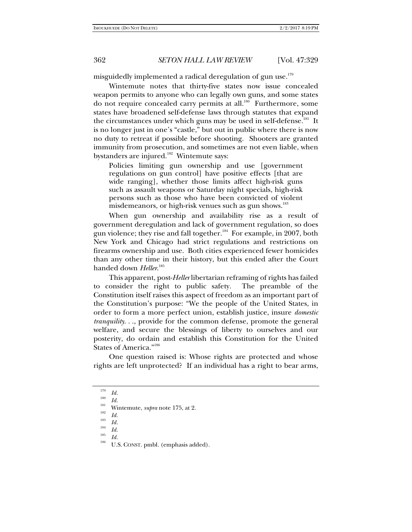misguidedly implemented a radical deregulation of gun use.<sup>179</sup>

Wintemute notes that thirty-five states now issue concealed weapon permits to anyone who can legally own guns, and some states do not require concealed carry permits at all.<sup>180</sup> Furthermore, some states have broadened self-defense laws through statutes that expand the circumstances under which guns may be used in self-defense.<sup>181</sup> It is no longer just in one's "castle," but out in public where there is now no duty to retreat if possible before shooting. Shooters are granted immunity from prosecution, and sometimes are not even liable, when bystanders are injured.<sup>182</sup> Wintemute says:

Policies limiting gun ownership and use [government regulations on gun control] have positive effects [that are wide ranging], whether those limits affect high-risk guns such as assault weapons or Saturday night specials, high-risk persons such as those who have been convicted of violent misdemeanors, or high-risk venues such as gun shows.<sup>183</sup>

When gun ownership and availability rise as a result of government deregulation and lack of government regulation, so does gun violence; they rise and fall together.<sup>184</sup> For example, in 2007, both New York and Chicago had strict regulations and restrictions on firearms ownership and use. Both cities experienced fewer homicides than any other time in their history, but this ended after the Court handed down *Heller*. 185

This apparent, post-*Heller* libertarian reframing of rights has failed to consider the right to public safety. The preamble of the Constitution itself raises this aspect of freedom as an important part of the Constitution's purpose: "We the people of the United States, in order to form a more perfect union, establish justice, insure *domestic tranquility*. . ., provide for the common defense, promote the general welfare, and secure the blessings of liberty to ourselves and our posterity, do ordain and establish this Constitution for the United States of America."186

One question raised is: Whose rights are protected and whose rights are left unprotected? If an individual has a right to bear arms,

<sup>179</sup>

<sup>&</sup>lt;sup>179</sup> *Id.*<br><sup>180</sup> *Id.* Wintemute, *supra* note 175, at 2.<br><sup>182</sup> *Id.* 

<sup>&</sup>lt;sup>183</sup> *Id. Id. Id.* 

<sup>&</sup>lt;sup>185</sup>*Id. Id.* **U.S. CONST.** pmbl. (emphasis added).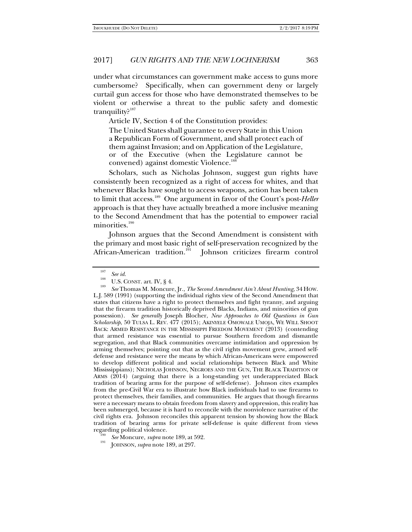under what circumstances can government make access to guns more cumbersome? Specifically, when can government deny or largely curtail gun access for those who have demonstrated themselves to be violent or otherwise a threat to the public safety and domestic tranquility? $187$ 

Article IV, Section 4 of the Constitution provides:

The United States shall guarantee to every State in this Union a Republican Form of Government, and shall protect each of them against Invasion; and on Application of the Legislature, or of the Executive (when the Legislature cannot be convened) against domestic Violence.<sup>1</sup>

Scholars, such as Nicholas Johnson, suggest gun rights have consistently been recognized as a right of access for whites, and that whenever Blacks have sought to access weapons, action has been taken to limit that access.189 One argument in favor of the Court's post-*Heller* approach is that they have actually breathed a more inclusive meaning to the Second Amendment that has the potential to empower racial minorities.<sup>190</sup>

Johnson argues that the Second Amendment is consistent with the primary and most basic right of self-preservation recognized by the African-American tradition.<sup>191</sup> Johnson criticizes firearm control Johnson criticizes firearm control

<sup>&</sup>lt;sup>187</sup> *See id.* U.S. CONST. art. IV, § 4.

*See* Thomas M. Moncure, Jr., *The Second Amendment Ain't About Hunting*, 34 HOW. L.J. 589 (1991) (supporting the individual rights view of the Second Amendment that states that citizens have a right to protect themselves and fight tyranny, and arguing that the firearm tradition historically deprived Blacks, Indians, and minorities of gun possession). *See generally* Joseph Blocher, *New Approaches to Old Questions in Gun Scholarship*, 50 TULSA L. REV. 477 (2015); AKINYELE OMOWALE UMOJA, WE WILL SHOOT BACK: ARMED RESISTANCE IN THE MISSISSIPPI FREEDOM MOVEMENT (2013) (contending that armed resistance was essential to pursue Southern freedom and dismantle segregation, and that Black communities overcame intimidation and oppression by arming themselves; pointing out that as the civil rights movement grew, armed selfdefense and resistance were the means by which African-Americans were empowered to develop different political and social relationships between Black and White Mississippians); NICHOLAS JOHNSON, NEGROES AND THE GUN, THE BLACK TRADITION OF ARMS (2014) (arguing that there is a long-standing yet underappreciated Black tradition of bearing arms for the purpose of self-defense). Johnson cites examples from the pre-Civil War era to illustrate how Black individuals had to use firearms to protect themselves, their families, and communities. He argues that though firearms were a necessary means to obtain freedom from slavery and oppression, this reality has been submerged, because it is hard to reconcile with the nonviolence narrative of the civil rights era. Johnson reconciles this apparent tension by showing how the Black tradition of bearing arms for private self-defense is quite different from views

regarding political violence. <sup>190</sup>*See* Moncure, *supra* note 189, at 592. 191 JOHNSON, *supra* note 189, at 297.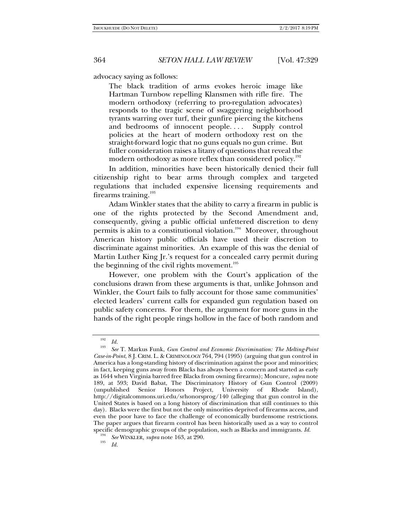advocacy saying as follows:

The black tradition of arms evokes heroic image like Hartman Turnbow repelling Klansmen with rifle fire. The modern orthodoxy (referring to pro-regulation advocates) responds to the tragic scene of swaggering neighborhood tyrants warring over turf, their gunfire piercing the kitchens and bedrooms of innocent people.... Supply control policies at the heart of modern orthodoxy rest on the straight-forward logic that no guns equals no gun crime. But fuller consideration raises a litany of questions that reveal the modern orthodoxy as more reflex than considered policy.<sup>192</sup>

In addition, minorities have been historically denied their full citizenship right to bear arms through complex and targeted regulations that included expensive licensing requirements and firearms training. $193$ 

Adam Winkler states that the ability to carry a firearm in public is one of the rights protected by the Second Amendment and, consequently, giving a public official unfettered discretion to deny permits is akin to a constitutional violation.<sup>194</sup> Moreover, throughout American history public officials have used their discretion to discriminate against minorities. An example of this was the denial of Martin Luther King Jr.'s request for a concealed carry permit during the beginning of the civil rights movement.<sup>195</sup>

However, one problem with the Court's application of the conclusions drawn from these arguments is that, unlike Johnson and Winkler, the Court fails to fully account for those same communities' elected leaders' current calls for expanded gun regulation based on public safety concerns. For them, the argument for more guns in the hands of the right people rings hollow in the face of both random and

 $\frac{192}{193}$  *Id.* 

*See* T. Markus Funk, *Gun Control and Economic Discrimination: The Melting-Point Case-in-Point*, 8 J. CRIM. L. & CRIMINOLOGY 764, 794 (1995) (arguing that gun control in America has a long-standing history of discrimination against the poor and minorities; in fact, keeping guns away from Blacks has always been a concern and started as early as 1644 when Virginia barred free Blacks from owning firearms); Moncure, *supra* note 189, at 593; David Babat, The Discriminatory History of Gun Control (2009) (unpublished Senior Honors Project, University of Rhode Island), http://digitalcommons.uri.edu/srhonorsprog/140 (alleging that gun control in the United States is based on a long history of discrimination that still continues to this day). Blacks were the first but not the only minorities deprived of firearms access, and even the poor have to face the challenge of economically burdensome restrictions. The paper argues that firearm control has been historically used as a way to control specific demographic groups of the population, such as Blacks and immigrants. *Id.* 194 *See WINKLER, supra* note 163, at 290.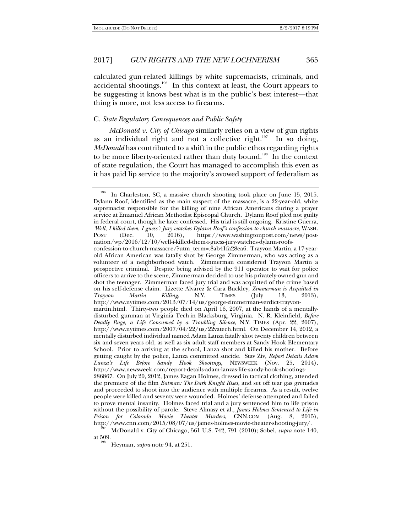calculated gun-related killings by white supremacists, criminals, and accidental shootings.196 In this context at least, the Court appears to be suggesting it knows best what is in the public's best interest—that thing is more, not less access to firearms.

## C. *State Regulatory Consequences and Public Safety*

*McDonald v. City of Chicago* similarly relies on a view of gun rights as an individual right and not a collective right.<sup>197</sup> In so doing, *McDonald* has contributed to a shift in the public ethos regarding rights to be more liberty-oriented rather than duty bound.<sup>198</sup> In the context of state regulation, the Court has managed to accomplish this even as it has paid lip service to the majority's avowed support of federalism as

<sup>&</sup>lt;sup>196</sup> In Charleston, SC, a massive church shooting took place on June 15, 2015. Dylann Roof, identified as the main suspect of the massacre, is a 22-year-old, white supremacist responsible for the killing of nine African Americans during a prayer service at Emanuel African Methodist Episcopal Church. Dylann Roof pled not guilty in federal court, though he later confessed. His trial is still ongoing. Kristine Guerra, *'Well, I killed them, I guess': Jury watches Dylann Roof's confession to church massacre*, WASH. POST (Dec. 10, 2016), https://www.washingtonpost.com/news/postnation/wp/2016/12/10/well-i-killed-them-i-guess-jury-watches-dylann-roofsconfession-to-church-massacre/?utm\_term=.8ab41fa28ea6. Trayvon Martin, a 17-yearold African American was fatally shot by George Zimmerman, who was acting as a volunteer of a neighborhood watch. Zimmerman considered Trayvon Martin a prospective criminal. Despite being advised by the 911 operator to wait for police officers to arrive to the scene, Zimmerman decided to use his privately-owned gun and shot the teenager. Zimmerman faced jury trial and was acquitted of the crime based on his self-defense claim. Lizette Alvarez & Cara Buckley, *Zimmerman is Acquitted in Trayvon Martin Killing*, N.Y. TIMES (July 13, 2013), http://www.nytimes.com/2013/07/14/us/george-zimmerman-verdict-trayvonmartin.html. Thirty-two people died on April 16, 2007, at the hands of a mentallydisturbed gunman at Virginia Tech in Blacksburg, Virginia. N. R. Kleinfield, *Before Deadly Rage, a Life Consumed by a Troubling Silence*, N.Y. TIMES (Apr. 22, 2007), http://www.nytimes.com/2007/04/22/us/22vatech.html. On December 14, 2012, a mentally disturbed individual named Adam Lanza fatally shot twenty children between six and seven years old, as well as six adult staff members at Sandy Hook Elementary School. Prior to arriving at the school, Lanza shot and killed his mother. Before getting caught by the police, Lanza committed suicide. Stav Ziv, *Report Details Adam Lanza's Life Before Sandy Hook Shootings*, NEWSWEEK (Nov. 25, 2014), http://www.newsweek.com/report-details-adam-lanzas-life-sandy-hook-shootings-286867. On July 20, 2012, James Eagan Holmes, dressed in tactical clothing, attended the premiere of the film *Batman: The Dark Knight Rises*, and set off tear gas grenades and proceeded to shoot into the audience with multiple firearms. As a result, twelve people were killed and seventy were wounded. Holmes' defense attempted and failed to prove mental insanity. Holmes faced trial and a jury sentenced him to life prison without the possibility of parole. Steve Almasy et al., *James Holmes Sentenced to Life in Prison for Colorado Movie Theater Murders*, CNN.COM (Aug. 8, 2015),

http://www.cnn.com/2015/08/07/us/james-holmes-movie-theater-shooting-jury/.<br><sup>197</sup> McDonald v. City of Chicago, 561 U.S. 742, 791 (2010); Sobel, *supra* note 140, at 509.

Heyman, *supra* note 94, at 251.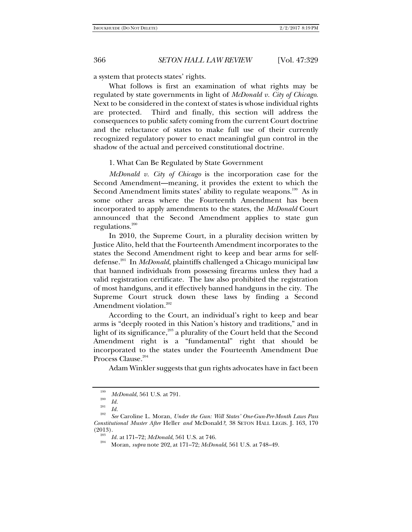a system that protects states' rights.

What follows is first an examination of what rights may be regulated by state governments in light of *McDonald v. City of Chicago*. Next to be considered in the context of states is whose individual rights are protected. Third and finally, this section will address the consequences to public safety coming from the current Court doctrine and the reluctance of states to make full use of their currently recognized regulatory power to enact meaningful gun control in the shadow of the actual and perceived constitutional doctrine.

### 1. What Can Be Regulated by State Government

*McDonald v. City of Chicago* is the incorporation case for the Second Amendment—meaning, it provides the extent to which the Second Amendment limits states' ability to regulate weapons.<sup>199</sup> As in some other areas where the Fourteenth Amendment has been incorporated to apply amendments to the states, the *McDonald* Court announced that the Second Amendment applies to state gun regulations. $200$ 

In 2010, the Supreme Court, in a plurality decision written by Justice Alito, held that the Fourteenth Amendment incorporates to the states the Second Amendment right to keep and bear arms for selfdefense.201 In *McDonald*, plaintiffs challenged a Chicago municipal law that banned individuals from possessing firearms unless they had a valid registration certificate. The law also prohibited the registration of most handguns, and it effectively banned handguns in the city. The Supreme Court struck down these laws by finding a Second Amendment violation.<sup>202</sup>

According to the Court, an individual's right to keep and bear arms is "deeply rooted in this Nation's history and traditions," and in light of its significance,<sup>203</sup> a plurality of the Court held that the Second Amendment right is a "fundamental" right that should be incorporated to the states under the Fourteenth Amendment Due Process Clause.<sup>204</sup>

Adam Winkler suggests that gun rights advocates have in fact been

<sup>&</sup>lt;sup>199</sup> *McDonald*, 561 U.S. at 791.

 $\begin{array}{cc} {}^{200} & Id. \ \frac{201}{Id.} \end{array}$ 

<sup>&</sup>lt;sup>202</sup> See Caroline L. Moran, *Under the Gun: Will States' One-Gun-Per-Month Laws Pass Constitutional Muster After* Heller *and* McDonald*?*, 38 SETON HALL LEGIS. J. 163, 170

<sup>(2013).</sup> <sup>203</sup>*Id.* at 171–72; *McDonald*, 561 U.S. at 746. 204 Moran, *supra* note 202, at 171–72; *McDonald*, 561 U.S. at 748–49.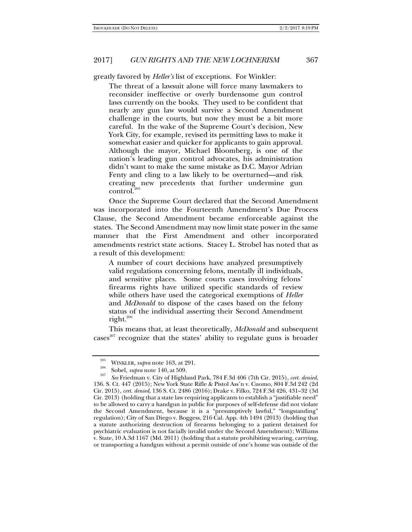greatly favored by *Heller's* list of exceptions. For Winkler:

The threat of a lawsuit alone will force many lawmakers to reconsider ineffective or overly burdensome gun control laws currently on the books. They used to be confident that nearly any gun law would survive a Second Amendment challenge in the courts, but now they must be a bit more careful. In the wake of the Supreme Court's decision, New York City, for example, revised its permitting laws to make it somewhat easier and quicker for applicants to gain approval. Although the mayor, Michael Bloomberg, is one of the nation's leading gun control advocates, his administration didn't want to make the same mistake as D.C. Mayor Adrian Fenty and cling to a law likely to be overturned—and risk creating new precedents that further undermine gun  $control<sup>205</sup>$ 

Once the Supreme Court declared that the Second Amendment was incorporated into the Fourteenth Amendment's Due Process Clause, the Second Amendment became enforceable against the states. The Second Amendment may now limit state power in the same manner that the First Amendment and other incorporated amendments restrict state actions. Stacey L. Strobel has noted that as a result of this development:

A number of court decisions have analyzed presumptively valid regulations concerning felons, mentally ill individuals, and sensitive places. Some courts cases involving felons' firearms rights have utilized specific standards of review while others have used the categorical exemptions of *Heller* and *McDonald* to dispose of the cases based on the felony status of the individual asserting their Second Amendment right.206

This means that, at least theoretically, *McDonald* and subsequent  $\csc^{207}$  recognize that the states' ability to regulate guns is broader

<sup>&</sup>lt;sup>205</sup> WINKLER, *supra* note 163, at 291.<br><sup>206</sup> Sobel, *supra* note 140, at 509.<br><sup>207</sup> See Friedman v. City of Highland Park, 784 F.3d 406 (7th Cir. 2015), *cert. denied*, 136. S. Ct. 447 (2015); New York State Rifle & Pistol Ass'n v. Cuomo, 804 F.3d 242 (2d Cir. 2015), *cert. denied*, 136 S. Ct. 2486 (2016); Drake v. Filko, 724 F.3d 426, 431–32 (3d Cir. 2013) (holding that a state law requiring applicants to establish a "justifiable need" to be allowed to carry a handgun in public for purposes of self-defense did not violate the Second Amendment, because it is a "presumptively lawful," "longstanding" regulation); City of San Diego v. Boggess, 216 Cal. App. 4th 1494 (2013) (holding that a statute authorizing destruction of firearms belonging to a patient detained for psychiatric evaluation is not facially invalid under the Second Amendment); Williams v. State, 10 A.3d 1167 (Md. 2011) (holding that a statute prohibiting wearing, carrying, or transporting a handgun without a permit outside of one's home was outside of the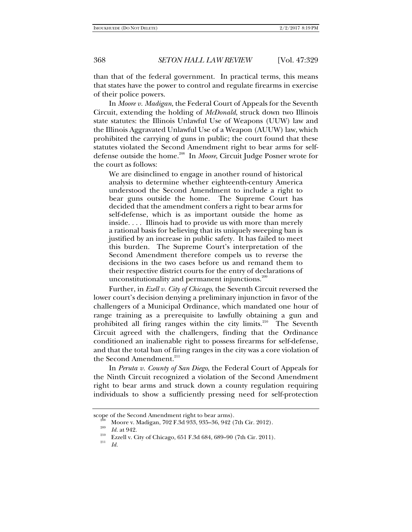than that of the federal government. In practical terms, this means that states have the power to control and regulate firearms in exercise of their police powers.

In *Moore v. Madigan*, the Federal Court of Appeals for the Seventh Circuit, extending the holding of *McDonald*, struck down two Illinois state statutes: the Illinois Unlawful Use of Weapons (UUW) law and the Illinois Aggravated Unlawful Use of a Weapon (AUUW) law, which prohibited the carrying of guns in public; the court found that these statutes violated the Second Amendment right to bear arms for selfdefense outside the home.<sup>208</sup> In *Moore*, Circuit Judge Posner wrote for the court as follows:

We are disinclined to engage in another round of historical analysis to determine whether eighteenth-century America understood the Second Amendment to include a right to bear guns outside the home. The Supreme Court has decided that the amendment confers a right to bear arms for self-defense, which is as important outside the home as inside. . . . Illinois had to provide us with more than merely a rational basis for believing that its uniquely sweeping ban is justified by an increase in public safety. It has failed to meet this burden. The Supreme Court's interpretation of the Second Amendment therefore compels us to reverse the decisions in the two cases before us and remand them to their respective district courts for the entry of declarations of unconstitutionality and permanent injunctions.<sup>209</sup>

Further, in *Ezell v. City of Chicago*, the Seventh Circuit reversed the lower court's decision denying a preliminary injunction in favor of the challengers of a Municipal Ordinance, which mandated one hour of range training as a prerequisite to lawfully obtaining a gun and prohibited all firing ranges within the city limits.<sup>210</sup> The Seventh Circuit agreed with the challengers, finding that the Ordinance conditioned an inalienable right to possess firearms for self-defense, and that the total ban of firing ranges in the city was a core violation of the Second Amendment.<sup>211</sup>

In *Peruta v. County of San Diego*, the Federal Court of Appeals for the Ninth Circuit recognized a violation of the Second Amendment right to bear arms and struck down a county regulation requiring individuals to show a sufficiently pressing need for self-protection

*Id.* 

scope of the Second Amendment right to bear arms).<br><sup>208</sup> Moore v. Madigan, 702 F.3d 933, 935–36, 942 (7th Cir. 2012).<br><sup>209</sup> Id. at 942.

<sup>&</sup>lt;sup>210</sup> Ezzell v. City of Chicago, 651 F.3d 684, 689–90 (7th Cir. 2011).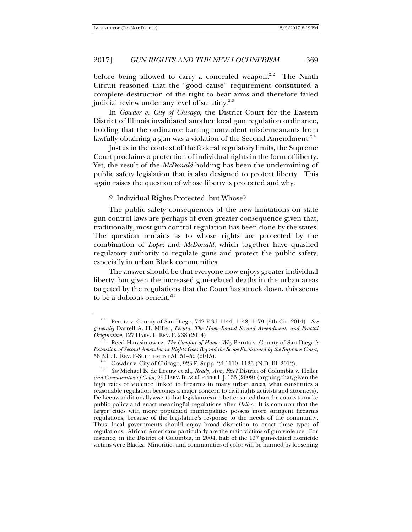before being allowed to carry a concealed weapon.<sup>212</sup> The Ninth Circuit reasoned that the "good cause" requirement constituted a complete destruction of the right to bear arms and therefore failed judicial review under any level of scrutiny.<sup>213</sup>

In *Gowder v. City of Chicago*, the District Court for the Eastern District of Illinois invalidated another local gun regulation ordinance, holding that the ordinance barring nonviolent misdemeanants from lawfully obtaining a gun was a violation of the Second Amendment. $2^{14}$ 

Just as in the context of the federal regulatory limits, the Supreme Court proclaims a protection of individual rights in the form of liberty. Yet, the result of the *McDonald* holding has been the undermining of public safety legislation that is also designed to protect liberty. This again raises the question of whose liberty is protected and why.

2. Individual Rights Protected, but Whose?

The public safety consequences of the new limitations on state gun control laws are perhaps of even greater consequence given that, traditionally, most gun control regulation has been done by the states. The question remains as to whose rights are protected by the combination of *Lopez* and *McDonald*, which together have quashed regulatory authority to regulate guns and protect the public safety, especially in urban Black communities.

The answer should be that everyone now enjoys greater individual liberty, but given the increased gun-related deaths in the urban areas targeted by the regulations that the Court has struck down, this seems to be a dubious benefit. $215$ 

<sup>212</sup> Peruta v. County of San Diego, 742 F.3d 1144, 1148, 1179 (9th Cir. 2014). *See generally* Darrell A. H. Miller, *Peruta, The Home-Bound Second Amendment, and Fractal* 

Reed Harasimowicz, *The Comfort of Home: Why Peruta v. County of San Diego's Extension of Second Amendment Rights Goes Beyond the Scope Envisioned by the Supreme Court*, 56 B.C. L. REV. E-SUPPLEMENT 51, 51–52 (2015).<br><sup>214</sup> Gowder v. City of Chicago, 923 F. Supp. 2d 1110, 1126 (N.D. Ill. 2012).<br><sup>215</sup> See Michael P. de Laeuw at al. *Peader Aim, Fire*<sup>2</sup> District of Columbia w

*See* Michael B. de Leeuw et al., *Ready, Aim, Fire?* District of Columbia v. Heller *and Communities of Color*, 25 HARV. BLACKLETTER L.J. 133 (2009) (arguing that, given the high rates of violence linked to firearms in many urban areas, what constitutes a reasonable regulation becomes a major concern to civil rights activists and attorneys). De Leeuw additionally asserts that legislatures are better suited than the courts to make public policy and enact meaningful regulations after *Heller.* It is common that the larger cities with more populated municipalities possess more stringent firearms regulations, because of the legislature's response to the needs of the community. Thus, local governments should enjoy broad discretion to enact these types of regulations. African Americans particularly are the main victims of gun violence. For instance, in the District of Columbia, in 2004, half of the 137 gun-related homicide victims were Blacks. Minorities and communities of color will be harmed by loosening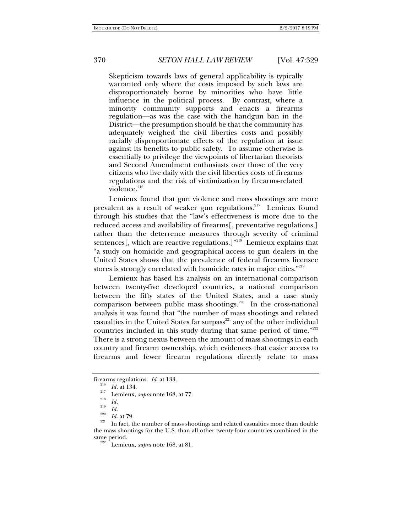Skepticism towards laws of general applicability is typically warranted only where the costs imposed by such laws are disproportionately borne by minorities who have little influence in the political process. By contrast, where a minority community supports and enacts a firearms regulation—as was the case with the handgun ban in the District—the presumption should be that the community has adequately weighed the civil liberties costs and possibly racially disproportionate effects of the regulation at issue against its benefits to public safety. To assume otherwise is essentially to privilege the viewpoints of libertarian theorists and Second Amendment enthusiasts over those of the very citizens who live daily with the civil liberties costs of firearms regulations and the risk of victimization by firearms-related violence.<sup>216</sup>

Lemieux found that gun violence and mass shootings are more prevalent as a result of weaker gun regulations.<sup>217</sup> Lemieux found through his studies that the "law's effectiveness is more due to the reduced access and availability of firearms[, preventative regulations,] rather than the deterrence measures through severity of criminal sentences[, which are reactive regulations.]"218 Lemieux explains that "a study on homicide and geographical access to gun dealers in the United States shows that the prevalence of federal firearms licensee stores is strongly correlated with homicide rates in major cities."<sup>219</sup>

Lemieux has based his analysis on an international comparison between twenty-five developed countries, a national comparison between the fifty states of the United States, and a case study comparison between public mass shootings.<sup>220</sup> In the cross-national analysis it was found that "the number of mass shootings and related casualties in the United States far surpass $^{221}$  any of the other individual countries included in this study during that same period of time."<sup>222</sup> There is a strong nexus between the amount of mass shootings in each country and firearm ownership, which evidences that easier access to firearms and fewer firearm regulations directly relate to mass

firearms regulations. *Id.* at 133.<br><sup>216</sup> *Id.* at 134.

<sup>&</sup>lt;sup>217</sup> Lemieux, *supra* note 168, at 77.

 $\frac{18}{219}$  *Id.* 

<sup>&</sup>lt;sup>220</sup> *Id.* at 79. **I** In fact, the number of mass shootings and related casualties more than double the mass shootings for the U.S. than all other twenty-four countries combined in the

Lemieux, *supra* note 168, at 81.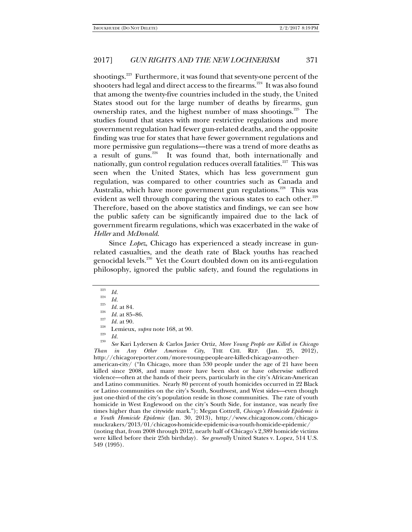shootings.<sup>223</sup> Furthermore, it was found that seventy-one percent of the shooters had legal and direct access to the firearms.<sup>224</sup> It was also found that among the twenty-five countries included in the study, the United States stood out for the large number of deaths by firearms, gun ownership rates, and the highest number of mass shootings.225 The studies found that states with more restrictive regulations and more government regulation had fewer gun-related deaths, and the opposite finding was true for states that have fewer government regulations and more permissive gun regulations—there was a trend of more deaths as a result of guns.<sup>226</sup> It was found that, both internationally and nationally, gun control regulation reduces overall fatalities.<sup>227</sup> This was seen when the United States, which has less government gun regulation, was compared to other countries such as Canada and Australia, which have more government gun regulations.<sup>228</sup> This was evident as well through comparing the various states to each other.<sup>229</sup> Therefore, based on the above statistics and findings, we can see how the public safety can be significantly impaired due to the lack of government firearm regulations, which was exacerbated in the wake of *Heller* and *McDonald*.

Since *Lopez*, Chicago has experienced a steady increase in gunrelated casualties, and the death rate of Black youths has reached genocidal levels.<sup>230</sup> Yet the Court doubled down on its anti-regulation philosophy, ignored the public safety, and found the regulations in

 *See* Kari Lydersen & Carlos Javier Ortiz, *More Young People are Killed in Chicago Than in Any Other American City*, THE CHI. REP. (Jan. 25, 2012), http://chicagoreporter.com/more-young-people-are-killed-chicago-any-otheramerican-city/ ("In Chicago, more than 530 people under the age of 21 have been killed since 2008, and many more have been shot or have otherwise suffered

violence—often at the hands of their peers, particularly in the city's African-American and Latino communities. Nearly 80 percent of youth homicides occurred in 22 Black or Latino communities on the city's South, Southwest, and West sides—even though just one-third of the city's population reside in those communities. The rate of youth homicide in West Englewood on the city's South Side, for instance, was nearly five times higher than the citywide mark."); Megan Cottrell, *Chicago's Homicide Epidemic is a Youth Homicide Epidemic* (Jan. 30, 2013), http://www.chicagonow.com/chicagomuckrakers/2013/01/chicagos-homicide-epidemic-is-a-youth-homicide-epidemic/ (noting that, from 2008 through 2012, nearly half of Chicago's 2,389 homicide victims were killed before their 25th birthday). *See generally* United States v. Lopez, 514 U.S. 549 (1995).

 $\frac{223}{224}$  *Id.* 

 $\frac{224}{225}$  *Id.* at 84.

<sup>&</sup>lt;sup>226</sup> *Id.* at 85–86.<br><sup>228</sup> *Id.* at 90.<br><sup>229</sup> *Id. Lemieux, supra* note 168, at 90.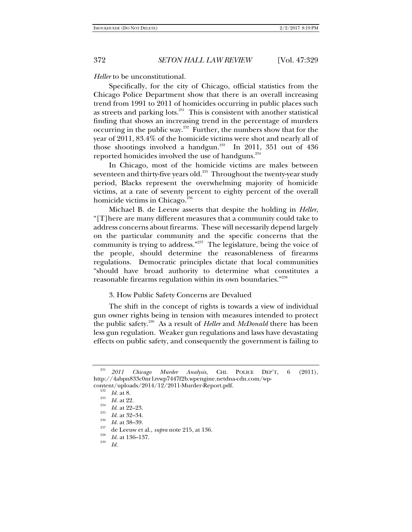### *Heller* to be unconstitutional.

Specifically, for the city of Chicago, official statistics from the Chicago Police Department show that there is an overall increasing trend from 1991 to 2011 of homicides occurring in public places such as streets and parking lots.231 This is consistent with another statistical finding that shows an increasing trend in the percentage of murders occurring in the public way.<sup>232</sup> Further, the numbers show that for the year of 2011, 83.4% of the homicide victims were shot and nearly all of those shootings involved a handgun.<sup>233</sup> In 2011, 351 out of  $436$ reported homicides involved the use of handguns.<sup>234</sup>

In Chicago, most of the homicide victims are males between seventeen and thirty-five years old.<sup>235</sup> Throughout the twenty-year study period, Blacks represent the overwhelming majority of homicide victims, at a rate of seventy percent to eighty percent of the overall homicide victims in Chicago. $236$ 

Michael B. de Leeuw asserts that despite the holding in *Heller*, "[T]here are many different measures that a community could take to address concerns about firearms. These will necessarily depend largely on the particular community and the specific concerns that the community is trying to address."237 The legislature, being the voice of the people, should determine the reasonableness of firearms regulations. Democratic principles dictate that local communities "should have broad authority to determine what constitutes a reasonable firearms regulation within its own boundaries."238

## 3. How Public Safety Concerns are Devalued

The shift in the concept of rights is towards a view of individual gun owner rights being in tension with measures intended to protect the public safety.239 As a result of *Heller* and *McDonald* there has been less gun regulation. Weaker gun regulations and laws have devastating effects on public safety, and consequently the government is failing to

<sup>231</sup> *2011 Chicago Murder Analysis*, CHI. POLICE DEP'T, 6 (2011), http://4abpn833c0nr1zvwp7447f2b.wpengine.netdna-cdn.com/wp-

content/uploads/2014/12/2011-Murder-Report.pdf.<br>
<sup>232</sup> Id. at 8.<br>
<sup>233</sup> Id. at 22.<br>
<sup>234</sup> Id. at 22-23.<br>
Id. at 22-23.<br>
Id. at 32-34.<br>
<sup>236</sup> Id. at 38-39.<br>
<sup>237</sup> de Leeuw et al., *supra* note 215, at 136.<br>
Id. at 136-137.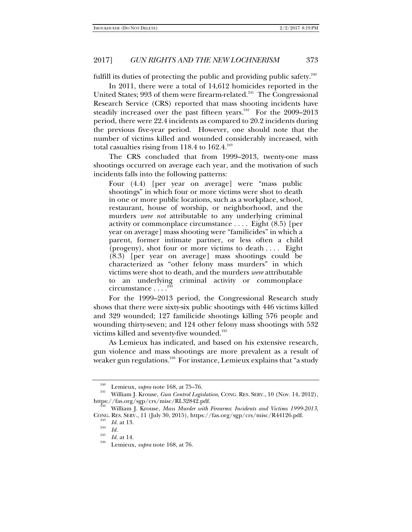fulfill its duties of protecting the public and providing public safety.<sup>240</sup>

In 2011, there were a total of 14,612 homicides reported in the United States; 993 of them were firearm-related.<sup>241</sup> The Congressional Research Service (CRS) reported that mass shooting incidents have steadily increased over the past fifteen years. $242$  For the 2009–2013 period, there were 22.4 incidents as compared to 20.2 incidents during the previous five-year period. However, one should note that the number of victims killed and wounded considerably increased, with total casualties rising from 118.4 to  $162.4.^{243}$ 

The CRS concluded that from 1999–2013, twenty-one mass shootings occurred on average each year, and the motivation of such incidents falls into the following patterns:

Four (4.4) [per year on average] were "mass public shootings" in which four or more victims were shot to death in one or more public locations, such as a workplace, school, restaurant, house of worship, or neighborhood, and the murders *were not* attributable to any underlying criminal activity or commonplace circumstance . . . . Eight (8.5) [per year on average] mass shooting were "familicides" in which a parent, former intimate partner, or less often a child (progeny), shot four or more victims to death . . . . Eight (8.3) [per year on average] mass shootings could be characterized as "other felony mass murders" in which victims were shot to death, and the murders *were* attributable to an underlying criminal activity or commonplace circumstance . . . .<sup>2</sup>

For the 1999–2013 period, the Congressional Research study shows that there were sixty-six public shootings with 446 victims killed and 329 wounded; 127 familicide shootings killing 576 people and wounding thirty-seven; and 124 other felony mass shootings with 532 victims killed and seventy-five wounded.<sup>245</sup>

As Lemieux has indicated, and based on his extensive research, gun violence and mass shootings are more prevalent as a result of weaker gun regulations.<sup>246</sup> For instance, Lemieux explains that "a study

<sup>&</sup>lt;sup>240</sup> Lemieux, *supra* note 168, at 75–76.<br><sup>241</sup> William J. Krouse, *Gun Control Legislation*, CONG. RES. SERV., 10 (Nov. 14, 2012),<br>https://fas.org/sgp/crs/misc/RL32842.pdf.

William J. Krouse, *Mass Murder with Firearms: Incidents and Victims 1999-2013*, CONG. RES. SERV., 11 (July 30, 2015), https://fas.org/sgp/crs/misc/R44126.pdf. 243 *Id.* at 13. 244 *Id.* <sup>245</sup> *Id.* at 14. 246 Lemieux, *supra* note 168, at 76.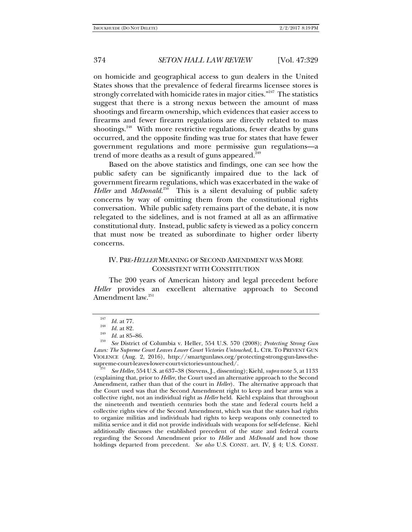on homicide and geographical access to gun dealers in the United States shows that the prevalence of federal firearms licensee stores is strongly correlated with homicide rates in major cities."<sup>247</sup> The statistics suggest that there is a strong nexus between the amount of mass shootings and firearm ownership, which evidences that easier access to firearms and fewer firearm regulations are directly related to mass shootings.<sup>248</sup> With more restrictive regulations, fewer deaths by guns occurred, and the opposite finding was true for states that have fewer government regulations and more permissive gun regulations—a trend of more deaths as a result of guns appeared. $24$ 

Based on the above statistics and findings, one can see how the public safety can be significantly impaired due to the lack of government firearm regulations, which was exacerbated in the wake of Heller and *McDonald*.<sup>250</sup> This is a silent devaluing of public safety concerns by way of omitting them from the constitutional rights conversation. While public safety remains part of the debate, it is now relegated to the sidelines, and is not framed at all as an affirmative constitutional duty. Instead, public safety is viewed as a policy concern that must now be treated as subordinate to higher order liberty concerns.

# IV. PRE-*HELLER* MEANING OF SECOND AMENDMENT WAS MORE CONSISTENT WITH CONSTITUTION

The 200 years of American history and legal precedent before *Heller* provides an excellent alternative approach to Second Amendment law.<sup>251</sup>

 *See Heller*, 554 U.S. at 637–38 (Stevens, J., dissenting); Kiehl, *supra* note 5, at 1133 (explaining that, prior to *Heller*, the Court used an alternative approach to the Second Amendment, rather than that of the court in *Heller*). The alternative approach that the Court used was that the Second Amendment right to keep and bear arms was a collective right, not an individual right as *Heller* held. Kiehl explains that throughout the nineteenth and twentieth centuries both the state and federal courts held a collective rights view of the Second Amendment, which was that the states had rights to organize militias and individuals had rights to keep weapons only connected to militia service and it did not provide individuals with weapons for self-defense. Kiehl additionally discusses the established precedent of the state and federal courts regarding the Second Amendment prior to *Heller* and *McDonald* and how those holdings departed from precedent. *See also* U.S. CONST. art. IV, § 4; U.S. CONST.

<sup>&</sup>lt;sup>247</sup> *Id.* at 77.<br><sup>248</sup> *Id.* at 82.<br><sup>249</sup> *Id.* at 85–86.

*See* District of Columbia v. Heller, 554 U.S. 570 (2008); *Protecting Strong Gun Laws: The Supreme Court Leaves Lower Court Victories Untouched*, L. CTR. TO PREVENT GUN VIOLENCE (Aug. 2, 2016), http://smartgunlaws.org/protecting-strong-gun-laws-thesupreme-court-leaves-lower-court-victories-untouched/.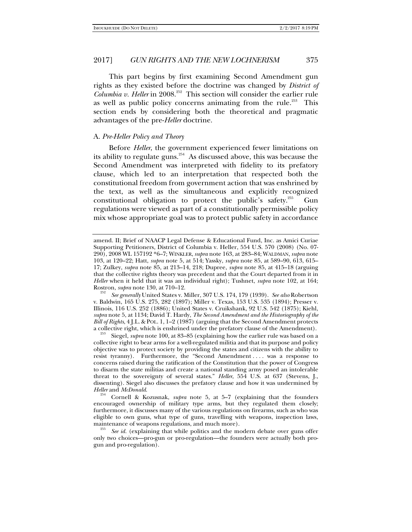This part begins by first examining Second Amendment gun rights as they existed before the doctrine was changed by *District of Columbia v. Heller* in 2008.<sup>252</sup> This section will consider the earlier rule as well as public policy concerns animating from the rule.<sup>253</sup> This section ends by considering both the theoretical and pragmatic advantages of the pre-*Heller* doctrine.

### A. *Pre-Heller Policy and Theory*

Before *Heller*, the government experienced fewer limitations on its ability to regulate guns.<sup>254</sup> As discussed above, this was because the Second Amendment was interpreted with fidelity to its prefatory clause, which led to an interpretation that respected both the constitutional freedom from government action that was enshrined by the text, as well as the simultaneous and explicitly recognized constitutional obligation to protect the public's safety.<sup>255</sup> Gun regulations were viewed as part of a constitutionally permissible policy mix whose appropriate goal was to protect public safety in accordance

 *See generally* United States v. Miller, 307 U.S. 174, 179 (1939). *See also* Robertson v. Baldwin, 165 U.S. 275, 282 (1897); Miller v. Texas, 153 U.S. 535 (1894); Presser v. Illinois, 116 U.S. 252 (1886); United States v. Cruikshank, 92 U.S. 542 (1875); Kiehl, *supra* note 5, at 1134; David T. Hardy, *The Second Amendment and the Historiography of the Bill of Rights*, 4 J.L. & POL. 1, 1–2 (1987) (arguing that the Second Amendment protects a collective right, which is enshrined under the prefatory clause of the Amendment).

Siegel, supra note 100, at 83-85 (explaining how the earlier rule was based on a collective right to bear arms for a well-regulated militia and that its purpose and policy objective was to protect society by providing the states and citizens with the ability to resist tyranny). Furthermore, the "Second Amendment ... . was a response to concerns raised during the ratification of the Constitution that the power of Congress to disarm the state militias and create a national standing army posed an intolerable threat to the sovereignty of several states." *Heller*, 554 U.S. at 637 (Stevens, J., dissenting). Siegel also discusses the prefatory clause and how it was undermined by *Heller* and *McDonald*.

Cornell & Kozusnak, *supra* note 5, at 5–7 (explaining that the founders encouraged ownership of military type arms, but they regulated them closely; furthermore, it discusses many of the various regulations on firearms, such as who was eligible to own guns, what type of guns, travelling with weapons, inspection laws, maintenance of weapons regulations, and much more).

See id. (explaining that while politics and the modern debate over guns offer only two choices—pro-gun or pro-regulation—the founders were actually both progun and pro-regulation).

amend. II; Brief of NAACP Legal Defense & Educational Fund, Inc. as Amici Curiae Supporting Petitioners, District of Columbia v. Heller, 554 U.S. 570 (2008) (No. 07- 290), 2008 WL 157192 \*6–7; WINKLER, *supra* note 163, at 283–84; WALDMAN, *supra* note 103, at 120–22; Hatt, *supra* note 5, at 514; Yassky, *supra* note 85, at 589–90, 613, 615– 17; Zulkey, *supra* note 85, at 213–14, 218; Dupree, *supra* note 85, at 415–18 (arguing that the collective rights theory was precedent and that the Court departed from it in *Heller* when it held that it was an individual right); Tushnet, *supra* note 102, at 164; Rostron, *supra* note 130, at 710–12.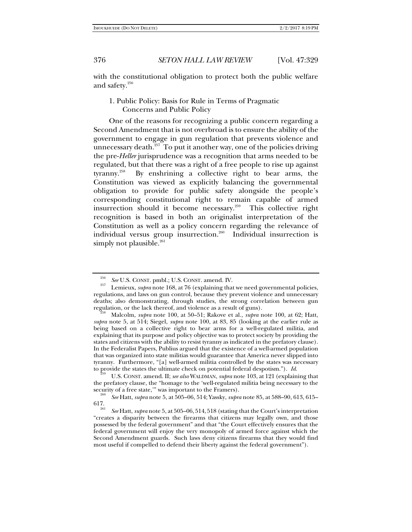with the constitutional obligation to protect both the public welfare and safety.<sup>256</sup>

# 1. Public Policy: Basis for Rule in Terms of Pragmatic Concerns and Public Policy

One of the reasons for recognizing a public concern regarding a Second Amendment that is not overbroad is to ensure the ability of the government to engage in gun regulation that prevents violence and unnecessary death.<sup>257</sup> To put it another way, one of the policies driving the pre-*Heller* jurisprudence was a recognition that arms needed to be regulated, but that there was a right of a free people to rise up against tyranny.258 By enshrining a collective right to bear arms, the Constitution was viewed as explicitly balancing the governmental obligation to provide for public safety alongside the people's corresponding constitutional right to remain capable of armed insurrection should it become necessary.<sup>259</sup> This collective right recognition is based in both an originalist interpretation of the Constitution as well as a policy concern regarding the relevance of individual versus group insurrection.<sup>260</sup> Individual insurrection is simply not plausible. $^{261}$ 

<sup>&</sup>lt;sup>256</sup> See U.S. CONST. pmbl.; U.S. CONST. amend. IV.<br><sup>257</sup> Lemieux, *supra* note 168, at 76 (explaining that we need governmental policies, regulations, and laws on gun control, because they prevent violence and unnecessary deaths; also demonstrating, through studies, the strong correlation between gun

regulation, or the lack thereof, and violence as a result of guns). 258 Malcolm, *supra* note 100, at 50–51; Rakove et al., *supra* note 100, at 62; Hatt, *supra* note 5, at 514; Siegel, *supra* note 100, at 83, 85 (looking at the earlier rule as being based on a collective right to bear arms for a well-regulated militia, and explaining that its purpose and policy objective was to protect society by providing the states and citizens with the ability to resist tyranny as indicated in the prefatory clause). In the Federalist Papers, Publius argued that the existence of a well-armed population that was organized into state militias would guarantee that America never slipped into tyranny. Furthermore, "[a] well-armed militia controlled by the states was necessary to provide the states the ultimate check on potential federal despotism.").  $Id$ .

U.S. CONST. amend. II; *see also* WALDMAN, *supra* note 103, at 121 (explaining that the prefatory clause, the "homage to the 'well-regulated militia being necessary to the security of a free state," was important to the Framers).

*See* Hatt, *supra* note 5, at 505–06, 514; Yassky, *supra* note 85, at 588–90, 613, 615– 617.

*See* Hatt, *supra* note 5, at 505–06, 514, 518 (stating that the Court's interpretation "creates a disparity between the firearms that citizens may legally own, and those possessed by the federal government" and that "the Court effectively ensures that the federal government will enjoy the very monopoly of armed force against which the Second Amendment guards. Such laws deny citizens firearms that they would find most useful if compelled to defend their liberty against the federal government").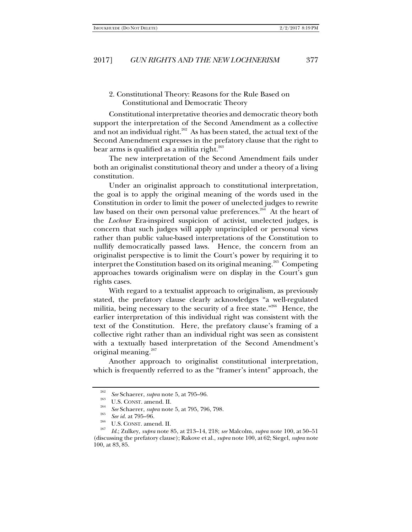## 2. Constitutional Theory: Reasons for the Rule Based on Constitutional and Democratic Theory

Constitutional interpretative theories and democratic theory both support the interpretation of the Second Amendment as a collective and not an individual right.<sup>262</sup> As has been stated, the actual text of the Second Amendment expresses in the prefatory clause that the right to bear arms is qualified as a militia right. $263$ 

The new interpretation of the Second Amendment fails under both an originalist constitutional theory and under a theory of a living constitution.

Under an originalist approach to constitutional interpretation, the goal is to apply the original meaning of the words used in the Constitution in order to limit the power of unelected judges to rewrite law based on their own personal value preferences.<sup>264</sup> At the heart of the *Lochner* Era-inspired suspicion of activist, unelected judges, is concern that such judges will apply unprincipled or personal views rather than public value-based interpretations of the Constitution to nullify democratically passed laws. Hence, the concern from an originalist perspective is to limit the Court's power by requiring it to interpret the Constitution based on its original meaning.<sup>265</sup> Competing approaches towards originalism were on display in the Court's gun rights cases.

With regard to a textualist approach to originalism, as previously stated, the prefatory clause clearly acknowledges "a well-regulated militia, being necessary to the security of a free state."266 Hence, the earlier interpretation of this individual right was consistent with the text of the Constitution. Here, the prefatory clause's framing of a collective right rather than an individual right was seen as consistent with a textually based interpretation of the Second Amendment's original meaning.<sup>267</sup>

Another approach to originalist constitutional interpretation, which is frequently referred to as the "framer's intent" approach, the

<sup>&</sup>lt;sup>262</sup> See Schaerer, *supra* note 5, at 795–96.<br><sup>263</sup> U.S. CONST. amend. II.<br><sup>264</sup> See Schaerer, *supra* note 5, at 795, 796, 798.

<sup>&</sup>lt;sup>265</sup> See id. at 795–96.<br><sup>266</sup> U.S. CONST. amend. II.<br><sup>267</sup> Id.; Zulkey, *supra* note 85, at 213–14, 218; *see* Malcolm, *supra* note 100, at 50–51 (discussing the prefatory clause); Rakove et al., *supra* note 100, at 62; Siegel, *supra* note 100, at 83, 85.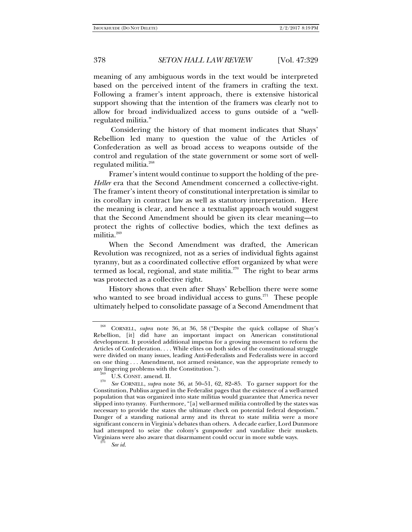meaning of any ambiguous words in the text would be interpreted based on the perceived intent of the framers in crafting the text. Following a framer's intent approach, there is extensive historical support showing that the intention of the framers was clearly not to allow for broad individualized access to guns outside of a "wellregulated militia."

 Considering the history of that moment indicates that Shays' Rebellion led many to question the value of the Articles of Confederation as well as broad access to weapons outside of the control and regulation of the state government or some sort of wellregulated militia.268

Framer's intent would continue to support the holding of the pre-*Heller* era that the Second Amendment concerned a collective-right. The framer's intent theory of constitutional interpretation is similar to its corollary in contract law as well as statutory interpretation. Here the meaning is clear, and hence a textualist approach would suggest that the Second Amendment should be given its clear meaning—to protect the rights of collective bodies, which the text defines as militia.<sup>269</sup>

When the Second Amendment was drafted, the American Revolution was recognized, not as a series of individual fights against tyranny, but as a coordinated collective effort organized by what were termed as local, regional, and state militia. $270$  The right to bear arms was protected as a collective right.

History shows that even after Shays' Rebellion there were some who wanted to see broad individual access to guns.<sup>271</sup> These people ultimately helped to consolidate passage of a Second Amendment that

<sup>268</sup> CORNELL, *supra* note 36, at 36, 58 ("Despite the quick collapse of Shay's Rebellion, [it] did have an important impact on American constitutional development. It provided additional impetus for a growing movement to reform the Articles of Confederation. . . . While elites on both sides of the constitutional struggle were divided on many issues, leading Anti-Federalists and Federalists were in accord on one thing . . . Amendment, not armed resistance, was the appropriate remedy to any lingering problems with the Constitution."). <sup>269</sup> U.S. CONST. amend. II.

*See* CORNELL, *supra* note 36, at 50–51, 62, 82–85. To garner support for the Constitution, Publius argued in the Federalist pages that the existence of a well-armed population that was organized into state militias would guarantee that America never slipped into tyranny. Furthermore, "[a] well-armed militia controlled by the states was necessary to provide the states the ultimate check on potential federal despotism." Danger of a standing national army and its threat to state militia were a more significant concern in Virginia's debates than others. A decade earlier, Lord Dunmore had attempted to seize the colony's gunpowder and vandalize their muskets. Virginians were also aware that disarmament could occur in more subtle ways.

*See id.*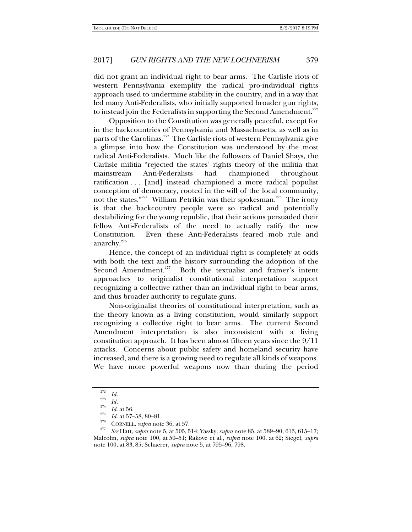did not grant an individual right to bear arms. The Carlisle riots of western Pennsylvania exemplify the radical pro-individual rights approach used to undermine stability in the country, and in a way that led many Anti-Federalists, who initially supported broader gun rights, to instead join the Federalists in supporting the Second Amendment. $^{272}$ 

Opposition to the Constitution was generally peaceful, except for in the backcountries of Pennsylvania and Massachusetts, as well as in parts of the Carolinas.<sup>273</sup> The Carlisle riots of western Pennsylvania give a glimpse into how the Constitution was understood by the most radical Anti-Federalists. Much like the followers of Daniel Shays, the Carlisle militia "rejected the states' rights theory of the militia that mainstream Anti-Federalists had championed throughout ratification . . . [and] instead championed a more radical populist conception of democracy, rooted in the will of the local community, not the states."<sup>274</sup> William Petrikin was their spokesman.<sup>275</sup> The irony is that the backcountry people were so radical and potentially destabilizing for the young republic, that their actions persuaded their fellow Anti-Federalists of the need to actually ratify the new Constitution. Even these Anti-Federalists feared mob rule and anarchy.276

Hence, the concept of an individual right is completely at odds with both the text and the history surrounding the adoption of the Second Amendment.<sup>277</sup> Both the textualist and framer's intent approaches to originalist constitutional interpretation support recognizing a collective rather than an individual right to bear arms, and thus broader authority to regulate guns.

Non-originalist theories of constitutional interpretation, such as the theory known as a living constitution, would similarly support recognizing a collective right to bear arms. The current Second Amendment interpretation is also inconsistent with a living constitution approach. It has been almost fifteen years since the 9/11 attacks. Concerns about public safety and homeland security have increased, and there is a growing need to regulate all kinds of weapons. We have more powerful weapons now than during the period

 $\frac{272}{273}$  *Id.* 

 $\frac{273}{274}$  *Id.* at 56.

<sup>&</sup>lt;sup>275</sup> *Id.* at 57–58, 80–81.<br><sup>276</sup> CORNELL, *supra* note 36, at 57.<br><sup>277</sup> *See* Hatt, *supra* note 5, at 505, 514; Yassky, *supra* note 85, at 589–90, 613, 615–17; Malcolm, *supra* note 100, at 50–51; Rakove et al., *supra* note 100, at 62; Siegel, *supra*  note 100, at 83, 85; Schaerer, *supra* note 5, at 795–96, 798.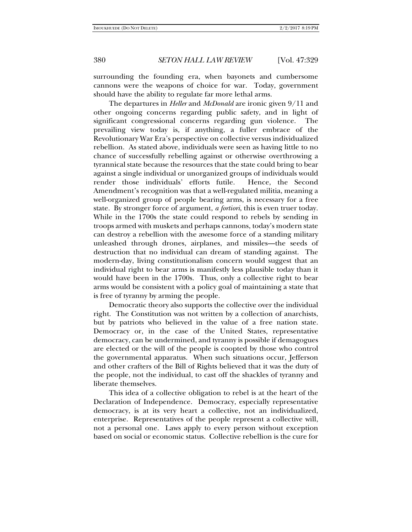surrounding the founding era, when bayonets and cumbersome cannons were the weapons of choice for war. Today, government should have the ability to regulate far more lethal arms.

The departures in *Heller* and *McDonald* are ironic given 9/11 and other ongoing concerns regarding public safety, and in light of significant congressional concerns regarding gun violence. The prevailing view today is, if anything, a fuller embrace of the Revolutionary War Era's perspective on collective versus individualized rebellion. As stated above, individuals were seen as having little to no chance of successfully rebelling against or otherwise overthrowing a tyrannical state because the resources that the state could bring to bear against a single individual or unorganized groups of individuals would render those individuals' efforts futile. Hence, the Second Amendment's recognition was that a well-regulated militia, meaning a well-organized group of people bearing arms, is necessary for a free state. By stronger force of argument, *a fortiori*, this is even truer today. While in the 1700s the state could respond to rebels by sending in troops armed with muskets and perhaps cannons, today's modern state can destroy a rebellion with the awesome force of a standing military unleashed through drones, airplanes, and missiles—the seeds of destruction that no individual can dream of standing against. The modern-day, living constitutionalism concern would suggest that an individual right to bear arms is manifestly less plausible today than it would have been in the 1700s. Thus, only a collective right to bear arms would be consistent with a policy goal of maintaining a state that is free of tyranny by arming the people.

Democratic theory also supports the collective over the individual right. The Constitution was not written by a collection of anarchists, but by patriots who believed in the value of a free nation state. Democracy or, in the case of the United States, representative democracy, can be undermined, and tyranny is possible if demagogues are elected or the will of the people is coopted by those who control the governmental apparatus. When such situations occur, Jefferson and other crafters of the Bill of Rights believed that it was the duty of the people, not the individual, to cast off the shackles of tyranny and liberate themselves.

This idea of a collective obligation to rebel is at the heart of the Declaration of Independence. Democracy, especially representative democracy, is at its very heart a collective, not an individualized, enterprise. Representatives of the people represent a collective will, not a personal one. Laws apply to every person without exception based on social or economic status. Collective rebellion is the cure for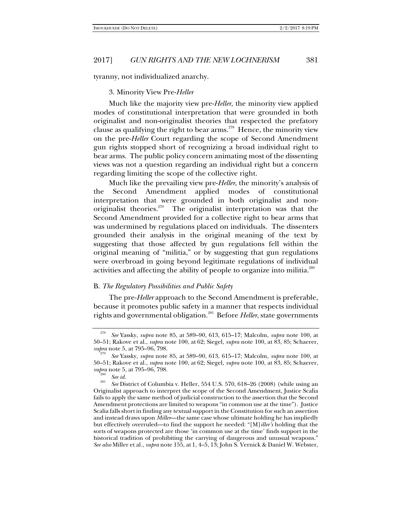tyranny, not individualized anarchy.

### 3. Minority View Pre-*Heller*

Much like the majority view pre-*Heller*, the minority view applied modes of constitutional interpretation that were grounded in both originalist and non-originalist theories that respected the prefatory clause as qualifying the right to bear arms.<sup>278</sup> Hence, the minority view on the pre-*Heller* Court regarding the scope of Second Amendment gun rights stopped short of recognizing a broad individual right to bear arms. The public policy concern animating most of the dissenting views was not a question regarding an individual right but a concern regarding limiting the scope of the collective right.

Much like the prevailing view pre-*Heller*, the minority's analysis of the Second Amendment applied modes of constitutional interpretation that were grounded in both originalist and nonoriginalist theories.<sup>279</sup> The originalist interpretation was that the Second Amendment provided for a collective right to bear arms that was undermined by regulations placed on individuals. The dissenters grounded their analysis in the original meaning of the text by suggesting that those affected by gun regulations fell within the original meaning of "militia," or by suggesting that gun regulations were overbroad in going beyond legitimate regulations of individual activities and affecting the ability of people to organize into militia.<sup>280</sup>

### B. *The Regulatory Possibilities and Public Safety*

The pre-*Heller* approach to the Second Amendment is preferable, because it promotes public safety in a manner that respects individual rights and governmental obligation.281 Before *Heller*, state governments

<sup>278</sup> *See* Yassky, *supra* note 85, at 589–90, 613, 615–17; Malcolm, *supra* note 100, at 50–51; Rakove et al., *supra* note 100, at 62; Siegel, *supra* note 100, at 83, 85; Schaerer, *supra* note 5, at 795–96, 798.

*See* Yassky, *supra* note 85, at 589–90, 613, 615–17; Malcolm, *supra* note 100, at 50–51; Rakove et al., *supra* note 100, at 62; Siegel, *supra* note 100, at 83, 85; Schaerer, *supra* note 5, at 795–96, 798.<br><sup>280</sup> *See id.* 

<sup>&</sup>lt;sup>281</sup> See District of Columbia v. Heller, 554 U.S. 570, 618–26 (2008) (while using an Originalist approach to interpret the scope of the Second Amendment, Justice Scalia fails to apply the same method of judicial construction to the assertion that the Second Amendment protections are limited to weapons "in common use at the time"). Justice Scalia falls short in finding any textual support in the Constitution for such an assertion and instead draws upon *Miller*—the same case whose ultimate holding he has impliedly but effectively overruled—to find the support he needed: "[M]*iller's* holding that the sorts of weapons protected are those 'in common use at the time' finds support in the historical tradition of prohibiting the carrying of dangerous and unusual weapons." *See also* Miller et al*.*, *supra* note 155, at 1, 4–5, 13; John S. Vernick & Daniel W. Webster,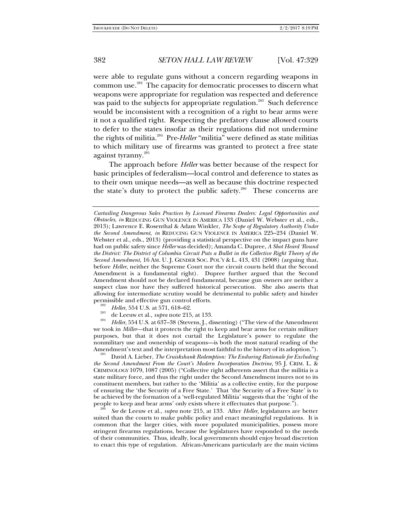were able to regulate guns without a concern regarding weapons in common use.282 The capacity for democratic processes to discern what weapons were appropriate for regulation was respected and deference was paid to the subjects for appropriate regulation.<sup>283</sup> Such deference would be inconsistent with a recognition of a right to bear arms were it not a qualified right. Respecting the prefatory clause allowed courts to defer to the states insofar as their regulations did not undermine the rights of militia.284 Pre-*Heller* "militia" were defined as state militias to which military use of firearms was granted to protect a free state against tyranny.<sup>285</sup>

The approach before *Heller* was better because of the respect for basic principles of federalism—local control and deference to states as to their own unique needs—as well as because this doctrine respected the state's duty to protect the public safety.<sup>286</sup> These concerns are

- 
- 

<sup>283</sup> de Leeuw et al., *supra* note 215, at 133.<br><sup>284</sup> *Heller*, 554 U.S. at 637–38 (Stevens, J., dissenting) ("The view of the Amendment") we took in *Miller—*that it protects the right to keep and bear arms for certain military purposes, but that it does not curtail the Legislature's power to regulate the nonmilitary use and ownership of weapons—is both the most natural reading of the Amendment's text and the interpretation most faithful to the history of its adoption."). 285 David A. Lieber, *The Cruiskshank Redemption: The Enduring Rationale for Excluding* 

*the Second Amendment From the Court's Modern Incorporation Doctrine*, 95 J. CRIM. L. & CRIMINOLOGY 1079, 1087 (2005) ("Collective right adherents assert that the militia is a state military force, and thus the right under the Second Amendment inures not to its constituent members, but rather to the 'Militia' as a collective entity, for the purpose of ensuring the 'the Security of a Free State.' That 'the Security of a Free State' is to be achieved by the formation of a 'well-regulated Militia' suggests that the 'right of the people to keep and bear arms' only exists where it effectuates that purpose."). 286

 *See* de Leeuw et al., *supra* note 215, at 133. After *Heller*, legislatures are better suited than the courts to make public policy and enact meaningful regulations*.* It is common that the larger cities, with more populated municipalities, possess more stringent firearms regulations, because the legislatures have responded to the needs of their communities. Thus, ideally, local governments should enjoy broad discretion to enact this type of regulation. African-Americans particularly are the main victims

*Curtailing Dangerous Sales Practices by Licensed Firearms Dealers: Legal Opportunities and Obstacles*, *in* REDUCING GUN VIOLENCE IN AMERICA 133 (Daniel W. Webster et al., eds., 2013); Lawrence E. Rosenthal & Adam Winkler, *The Scope of Regulatory Authority Under the Second Amendment*, *in* REDUCING GUN VIOLENCE IN AMERICA 225–234 (Daniel W. Webster et al., eds., 2013) (providing a statistical perspective on the impact guns have had on public safety since *Heller* was decided); Amanda C. Dupree, *A Shot Heard 'Round the District: The District of Columbia Circuit Puts a Bullet in the Collective Right Theory of the Second Amendment*, 16 AM. U. J. GENDER SOC. POL'Y & L. 413, 431 (2008) (arguing that, before *Heller*, neither the Supreme Court nor the circuit courts held that the Second Amendment is a fundamental right). Dupree further argued that the Second Amendment should not be declared fundamental, because gun owners are neither a suspect class nor have they suffered historical persecution. She also asserts that allowing for intermediate scrutiny would be detrimental to public safety and hinder permissible and effective gun control efforts.<br><sup>282</sup> Heller, 554 U.S. at 571, 618–62.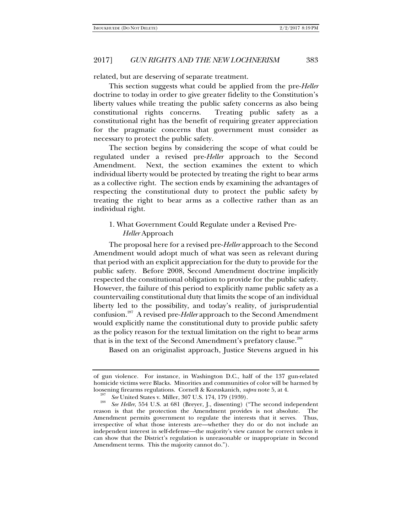related, but are deserving of separate treatment.

This section suggests what could be applied from the pre-*Heller* doctrine to today in order to give greater fidelity to the Constitution's liberty values while treating the public safety concerns as also being constitutional rights concerns. Treating public safety as a constitutional right has the benefit of requiring greater appreciation for the pragmatic concerns that government must consider as necessary to protect the public safety.

The section begins by considering the scope of what could be regulated under a revised pre-*Heller* approach to the Second Amendment. Next, the section examines the extent to which individual liberty would be protected by treating the right to bear arms as a collective right. The section ends by examining the advantages of respecting the constitutional duty to protect the public safety by treating the right to bear arms as a collective rather than as an individual right.

# 1. What Government Could Regulate under a Revised Pre-*Heller* Approach

The proposal here for a revised pre-*Heller* approach to the Second Amendment would adopt much of what was seen as relevant during that period with an explicit appreciation for the duty to provide for the public safety. Before 2008, Second Amendment doctrine implicitly respected the constitutional obligation to provide for the public safety. However, the failure of this period to explicitly name public safety as a countervailing constitutional duty that limits the scope of an individual liberty led to the possibility, and today's reality, of jurisprudential confusion.287 A revised pre-*Heller* approach to the Second Amendment would explicitly name the constitutional duty to provide public safety as the policy reason for the textual limitation on the right to bear arms that is in the text of the Second Amendment's prefatory clause.<sup>288</sup>

Based on an originalist approach, Justice Stevens argued in his

of gun violence. For instance, in Washington D.C., half of the 137 gun-related homicide victims were Blacks. Minorities and communities of color will be harmed by loosening firearms regulations. Cornell & Kozuskanich, *supra* note 5, at 4.<br><sup>287</sup> See United States v. Miller, 307 U.S. 174, 179 (1939).

<sup>&</sup>lt;sup>288</sup> See Heller, 554 U.S. at 681 (Breyer, J., dissenting) ("The second independent reason is that the protection the Amendment provides is not absolute. The Amendment permits government to regulate the interests that it serves. Thus, irrespective of what those interests are—whether they do or do not include an independent interest in self-defense—the majority's view cannot be correct unless it can show that the District's regulation is unreasonable or inappropriate in Second Amendment terms. This the majority cannot do.").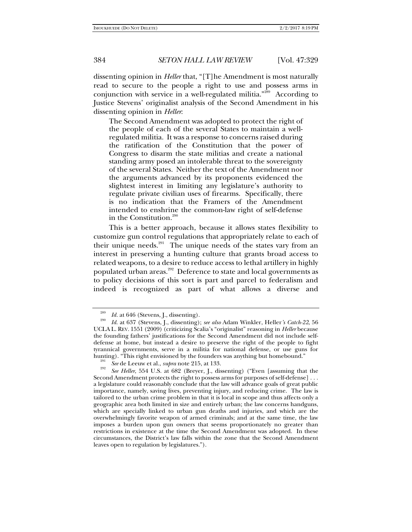dissenting opinion in *Heller* that, "[T]he Amendment is most naturally read to secure to the people a right to use and possess arms in conjunction with service in a well-regulated militia."<sup>289</sup> According to Justice Stevens' originalist analysis of the Second Amendment in his dissenting opinion in *Heller*:

The Second Amendment was adopted to protect the right of the people of each of the several States to maintain a wellregulated militia. It was a response to concerns raised during the ratification of the Constitution that the power of Congress to disarm the state militias and create a national standing army posed an intolerable threat to the sovereignty of the several States. Neither the text of the Amendment nor the arguments advanced by its proponents evidenced the slightest interest in limiting any legislature's authority to regulate private civilian uses of firearms. Specifically, there is no indication that the Framers of the Amendment intended to enshrine the common-law right of self-defense in the Constitution.<sup>290</sup>

This is a better approach, because it allows states flexibility to customize gun control regulations that appropriately relate to each of their unique needs. $291$  The unique needs of the states vary from an interest in preserving a hunting culture that grants broad access to related weapons, to a desire to reduce access to lethal artillery in highly populated urban areas.<sup>292</sup> Deference to state and local governments as to policy decisions of this sort is part and parcel to federalism and indeed is recognized as part of what allows a diverse and

<sup>289</sup>

*Id.* at 646 (Stevens, J., dissenting). 290 *Id*. at 637 (Stevens, J., dissenting); *see also* Adam Winkler, Heller*'s Catch-22*, 56 UCLA L. REV. 1551 (2009) (criticizing Scalia's "originalist" reasoning in *Heller* because the founding fathers' justifications for the Second Amendment did not include selfdefense at home, but instead a desire to preserve the right of the people to fight tyrannical governments, serve in a militia for national defense, or use guns for hunting). "This right envisioned by the founders was anything but homebound."

<sup>&</sup>lt;sup>291</sup> *See* de Leeuw et al., *supra* note 215, at 133.

*See Heller*, 554 U.S. at 682 (Breyer, J., dissenting) ("Even [assuming that the Second Amendment protects the right to possess arms for purposes of self-defense] . . . a legislature could reasonably conclude that the law will advance goals of great public importance, namely, saving lives, preventing injury, and reducing crime. The law is tailored to the urban crime problem in that it is local in scope and thus affects only a geographic area both limited in size and entirely urban; the law concerns handguns, which are specially linked to urban gun deaths and injuries, and which are the overwhelmingly favorite weapon of armed criminals; and at the same time, the law imposes a burden upon gun owners that seems proportionately no greater than restrictions in existence at the time the Second Amendment was adopted. In these circumstances, the District's law falls within the zone that the Second Amendment leaves open to regulation by legislatures.").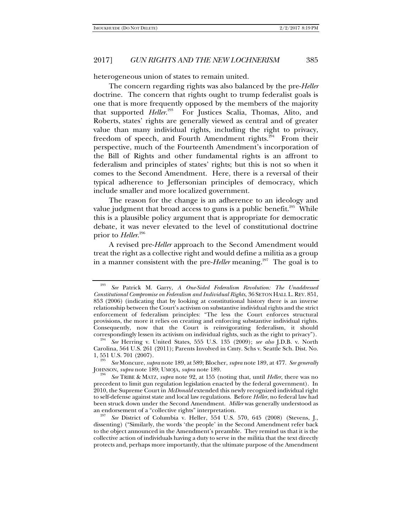heterogeneous union of states to remain united.

The concern regarding rights was also balanced by the pre-*Heller* doctrine. The concern that rights ought to trump federalist goals is one that is more frequently opposed by the members of the majority that supported *Heller*.<sup>293</sup> For Justices Scalia, Thomas, Alito, and Roberts, states' rights are generally viewed as central and of greater value than many individual rights, including the right to privacy, freedom of speech, and Fourth Amendment rights.<sup>294</sup> From their perspective, much of the Fourteenth Amendment's incorporation of the Bill of Rights and other fundamental rights is an affront to federalism and principles of states' rights; but this is not so when it comes to the Second Amendment. Here, there is a reversal of their typical adherence to Jeffersonian principles of democracy, which include smaller and more localized government.

The reason for the change is an adherence to an ideology and value judgment that broad access to guns is a public benefit.<sup>295</sup> While this is a plausible policy argument that is appropriate for democratic debate, it was never elevated to the level of constitutional doctrine prior to *Heller*. 296

A revised pre-*Heller* approach to the Second Amendment would treat the right as a collective right and would define a militia as a group in a manner consistent with the pre-*Heller* meaning.<sup>297</sup> The goal is to

<sup>293</sup> *See* Patrick M. Garry, *A One-Sided Federalism Revolution: The Unaddressed Constitutional Compromise on Federalism and Individual Rights*, 36 SETON HALL L. REV. 851, 853 (2006) (indicating that by looking at constitutional history there is an inverse relationship between the Court's activism on substantive individual rights and the strict enforcement of federalism principles: "The less the Court enforces structural provisions, the more it relies on creating and enforcing substantive individual rights. Consequently, now that the Court is reinvigorating federalism, it should correspondingly lessen its activism on individual rights, such as the right to privacy"). 294 *See* Herring v. United States, 555 U.S. 135 (2009); *see also* J.D.B. v. North

Carolina, 564 U.S. 261 (2011); Parents Involved in Cmty. Schs v. Seattle Sch. Dist. No. 1, 551 U.S. 701 (2007).

*See* Moncure, *supra* note 189, at 589; Blocher, *supra* note 189, at 477. *See generally* JOHNSON, *supra* note 189; UMOJA, *supra* note 189.

*See* TRIBE & MATZ, *supra* note 92, at 155 (noting that, until *Heller*, there was no precedent to limit gun regulation legislation enacted by the federal government). In 2010, the Supreme Court in *McDonald* extended this newly recognized individual right to self-defense against state and local law regulations. Before *Heller*, no federal law had been struck down under the Second Amendment. *Miller* was generally understood as an endorsement of a "collective rights" interpretation. 297 *See* District of Columbia v. Heller, 554 U.S. 570, 645 (2008) (Stevens, J.,

dissenting) ("Similarly, the words 'the people' in the Second Amendment refer back to the object announced in the Amendment's preamble. They remind us that it is the collective action of individuals having a duty to serve in the militia that the text directly protects and, perhaps more importantly, that the ultimate purpose of the Amendment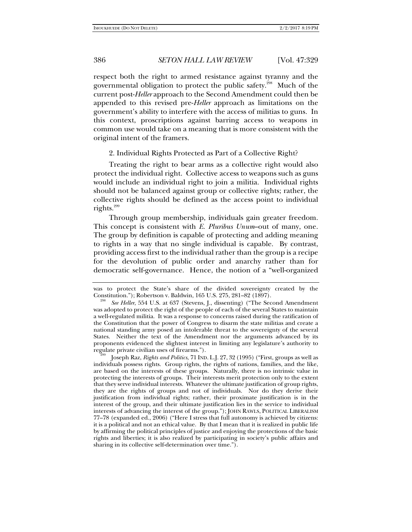respect both the right to armed resistance against tyranny and the governmental obligation to protect the public safety.<sup>298</sup> Much of the current post-*Heller* approach to the Second Amendment could then be appended to this revised pre-*Heller* approach as limitations on the government's ability to interfere with the access of militias to guns. In this context, proscriptions against barring access to weapons in common use would take on a meaning that is more consistent with the original intent of the framers.

2. Individual Rights Protected as Part of a Collective Right?

Treating the right to bear arms as a collective right would also protect the individual right. Collective access to weapons such as guns would include an individual right to join a militia. Individual rights should not be balanced against group or collective rights; rather, the collective rights should be defined as the access point to individual rights. $299$ 

Through group membership, individuals gain greater freedom. This concept is consistent with *E. Pluribus Unum*–out of many, one. The group by definition is capable of protecting and adding meaning to rights in a way that no single individual is capable. By contrast, providing access first to the individual rather than the group is a recipe for the devolution of public order and anarchy rather than for democratic self-governance. Hence, the notion of a "well-organized

was to protect the State's share of the divided sovereignty created by the Constitution."); Robertson v. Baldwin, 165 U.S. 275, 281-82 (1897).

*See Heller*, 554 U.S. at 637 (Stevens, J., dissenting) ("The Second Amendment was adopted to protect the right of the people of each of the several States to maintain a well-regulated militia. It was a response to concerns raised during the ratification of the Constitution that the power of Congress to disarm the state militias and create a national standing army posed an intolerable threat to the sovereignty of the several States. Neither the text of the Amendment nor the arguments advanced by its proponents evidenced the slightest interest in limiting any legislature's authority to regulate private civilian uses of firearms.").<br><sup>299</sup> Joseph Raz, *Rights and Politics*, 71 IND. L.J. 27, 32 (1995) ("First, groups as well as

individuals possess rights. Group rights, the rights of nations, families, and the like, are based on the interests of these groups. Naturally, there is no intrinsic value in protecting the interests of groups. Their interests merit protection only to the extent that they serve individual interests. Whatever the ultimate justification of group rights, they are the rights of groups and not of individuals. Nor do they derive their justification from individual rights; rather, their proximate justification is in the interest of the group, and their ultimate justification lies in the service to individual interests of advancing the interest of the group."); JOHN RAWLS, POLITICAL LIBERALISM 77–78 (expanded ed., 2006) ("Here I stress that full autonomy is achieved by citizens: it is a political and not an ethical value. By that I mean that it is realized in public life by affirming the political principles of justice and enjoying the protections of the basic rights and liberties; it is also realized by participating in society's public affairs and sharing in its collective self-determination over time.").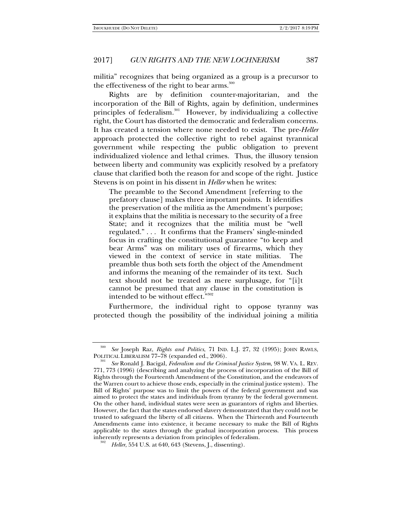militia" recognizes that being organized as a group is a precursor to the effectiveness of the right to bear arms.<sup>300</sup>

Rights are by definition counter-majoritarian, and the incorporation of the Bill of Rights, again by definition, undermines principles of federalism.<sup>301</sup> However, by individualizing a collective right, the Court has distorted the democratic and federalism concerns. It has created a tension where none needed to exist. The pre-*Heller*  approach protected the collective right to rebel against tyrannical government while respecting the public obligation to prevent individualized violence and lethal crimes. Thus, the illusory tension between liberty and community was explicitly resolved by a prefatory clause that clarified both the reason for and scope of the right. Justice Stevens is on point in his dissent in *Heller* when he writes:

The preamble to the Second Amendment [referring to the prefatory clause] makes three important points. It identifies the preservation of the militia as the Amendment's purpose; it explains that the militia is necessary to the security of a free State; and it recognizes that the militia must be "well regulated." . . . It confirms that the Framers' single-minded focus in crafting the constitutional guarantee "to keep and bear Arms" was on military uses of firearms, which they viewed in the context of service in state militias. The preamble thus both sets forth the object of the Amendment and informs the meaning of the remainder of its text. Such text should not be treated as mere surplusage, for "[i]t cannot be presumed that any clause in the constitution is intended to be without effect."302

Furthermore, the individual right to oppose tyranny was protected though the possibility of the individual joining a militia

<sup>300</sup> *See* Joseph Raz, *Rights and Politics*, 71 IND. L.J. 27, 32 (1995); JOHN RAWLS, POLITICAL LIBERALISM 77-78 (expanded ed., 2006).

*See* Ronald J. Bacigal, *Federalism and the Criminal Justice System*, 98 W. VA. L. REV. 771, 773 (1996) (describing and analyzing the process of incorporation of the Bill of Rights through the Fourteenth Amendment of the Constitution, and the endeavors of the Warren court to achieve those ends, especially in the criminal justice system). The Bill of Rights' purpose was to limit the powers of the federal government and was aimed to protect the states and individuals from tyranny by the federal government. On the other hand, individual states were seen as guarantors of rights and liberties. However, the fact that the states endorsed slavery demonstrated that they could not be trusted to safeguard the liberty of all citizens. When the Thirteenth and Fourteenth Amendments came into existence, it became necessary to make the Bill of Rights applicable to the states through the gradual incorporation process. This process inherently represents a deviation from principles of federalism.

*Heller*, 554 U.S. at 640, 643 (Stevens, *J.*, dissenting).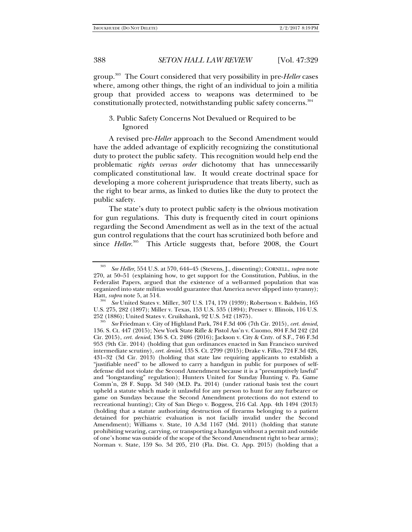group.303 The Court considered that very possibility in pre-*Heller* cases where, among other things, the right of an individual to join a militia group that provided access to weapons was determined to be constitutionally protected, notwithstanding public safety concerns.<sup>304</sup>

# 3. Public Safety Concerns Not Devalued or Required to be Ignored

A revised pre-*Heller* approach to the Second Amendment would have the added advantage of explicitly recognizing the constitutional duty to protect the public safety. This recognition would help end the problematic *rights versus order* dichotomy that has unnecessarily complicated constitutional law. It would create doctrinal space for developing a more coherent jurisprudence that treats liberty, such as the right to bear arms, as linked to duties like the duty to protect the public safety.

The state's duty to protect public safety is the obvious motivation for gun regulations. This duty is frequently cited in court opinions regarding the Second Amendment as well as in the text of the actual gun control regulations that the court has scrutinized both before and since *Heller*.<sup>305</sup> This Article suggests that, before 2008, the Court

<sup>303</sup> *See Heller*, 554 U.S. at 570, 644–45 (Stevens, J., dissenting); CORNELL, *supra* note 270, at 50–51 (explaining how, to get support for the Constitution, Publius, in the Federalist Papers, argued that the existence of a well-armed population that was organized into state militias would guarantee that America never slipped into tyranny); Hatt, *supra* note 5, at 514.

*See* United States v. Miller, 307 U.S. 174, 179 (1939); Robertson v. Baldwin, 165 U.S. 275, 282 (1897); Miller v. Texas, 153 U.S. 535 (1894); Presser v. Illinois, 116 U.S. 252 (1886); United States v. Cruikshank, 92 U.S. 542 (1875).

*See* Friedman v. City of Highland Park, 784 F.3d 406 (7th Cir. 2015), *cert. denied*, 136. S. Ct. 447 (2015); New York State Rifle & Pistol Ass'n v. Cuomo, 804 F.3d 242 (2d Cir. 2015), *cert. denied*, 136 S. Ct. 2486 (2016); Jackson v. City & Cnty. of S.F., 746 F.3d 953 (9th Cir. 2014) (holding that gun ordinances enacted in San Francisco survived intermediate scrutiny), *cert. denied*, 135 S. Ct. 2799 (2015); Drake v. Filko, 724 F.3d 426, 431–32 (3d Cir. 2013) (holding that state law requiring applicants to establish a "justifiable need" to be allowed to carry a handgun in public for purposes of selfdefense did not violate the Second Amendment because it is a "presumptively lawful" and "longstanding" regulation); Hunters United for Sunday Hunting v. Pa. Game Comm'n, 28 F. Supp. 3d 340 (M.D. Pa. 2014) (under rational basis test the court upheld a statute which made it unlawful for any person to hunt for any furbearer or game on Sundays because the Second Amendment protections do not extend to recreational hunting); City of San Diego v. Boggess, 216 Cal. App. 4th 1494 (2013) (holding that a statute authorizing destruction of firearms belonging to a patient detained for psychiatric evaluation is not facially invalid under the Second Amendment); Williams v. State, 10 A.3d 1167 (Md. 2011) (holding that statute prohibiting wearing, carrying, or transporting a handgun without a permit and outside of one's home was outside of the scope of the Second Amendment right to bear arms); Norman v. State, 159 So. 3d 205, 210 (Fla. Dist. Ct. App. 2015) (holding that a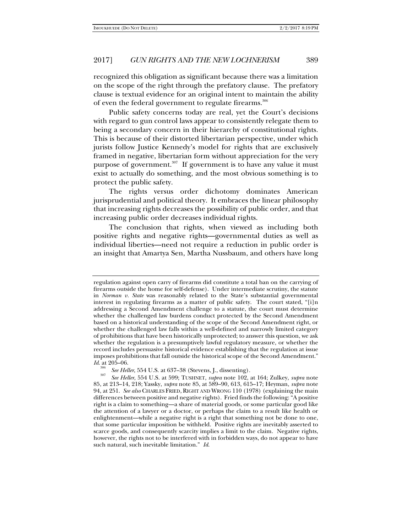recognized this obligation as significant because there was a limitation on the scope of the right through the prefatory clause. The prefatory clause is textual evidence for an original intent to maintain the ability of even the federal government to regulate firearms.<sup>306</sup>

Public safety concerns today are real, yet the Court's decisions with regard to gun control laws appear to consistently relegate them to being a secondary concern in their hierarchy of constitutional rights. This is because of their distorted libertarian perspective, under which jurists follow Justice Kennedy's model for rights that are exclusively framed in negative, libertarian form without appreciation for the very purpose of government. $307$  If government is to have any value it must exist to actually do something, and the most obvious something is to protect the public safety.

The rights versus order dichotomy dominates American jurisprudential and political theory. It embraces the linear philosophy that increasing rights decreases the possibility of public order, and that increasing public order decreases individual rights.

The conclusion that rights, when viewed as including both positive rights and negative rights—governmental duties as well as individual liberties—need not require a reduction in public order is an insight that Amartya Sen, Martha Nussbaum, and others have long

regulation against open carry of firearms did constitute a total ban on the carrying of firearms outside the home for self-defense). Under intermediate scrutiny, the statute in *Norman v. State* was reasonably related to the State's substantial governmental interest in regulating firearms as a matter of public safety. The court stated, "[i]n addressing a Second Amendment challenge to a statute, the court must determine whether the challenged law burdens conduct protected by the Second Amendment based on a historical understanding of the scope of the Second Amendment right, or whether the challenged law falls within a well-defined and narrowly limited category of prohibitions that have been historically unprotected; to answer this question, we ask whether the regulation is a presumptively lawful regulatory measure, or whether the record includes persuasive historical evidence establishing that the regulation at issue imposes prohibitions that fall outside the historical scope of the Second Amendment." *Id*. at 205–06.

<sup>306</sup>*See Heller*, 554 U.S. at 637–38 (Stevens, J., dissenting)*.* <sup>307</sup> *See Heller*, 554 U.S. at 599; TUSHNET, *supra* note 102, at 164; Zulkey, *supra* note 85, at 213–14, 218; Yassky, *supra* note 85, at 589–90, 613, 615–17; Heyman, *supra* note 94, at 251. *See also* CHARLES FRIED, RIGHT AND WRONG 110 (1978) (explaining the main differences between positive and negative rights). Fried finds the following: "A positive right is a claim to something—a share of material goods, or some particular good like the attention of a lawyer or a doctor, or perhaps the claim to a result like health or enlightenment—while a negative right is a right that something not be done to one, that some particular imposition be withheld. Positive rights are inevitably asserted to scarce goods, and consequently scarcity implies a limit to the claim. Negative rights, however, the rights not to be interfered with in forbidden ways, do not appear to have such natural, such inevitable limitation." *Id*.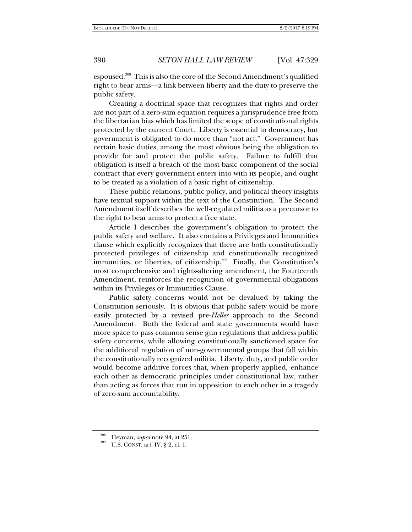espoused.<sup>308</sup> This is also the core of the Second Amendment's qualified right to bear arms—a link between liberty and the duty to preserve the public safety.

Creating a doctrinal space that recognizes that rights and order are not part of a zero-sum equation requires a jurisprudence free from the libertarian bias which has limited the scope of constitutional rights protected by the current Court. Liberty is essential to democracy, but government is obligated to do more than "not act." Government has certain basic duties, among the most obvious being the obligation to provide for and protect the public safety. Failure to fulfill that obligation is itself a breach of the most basic component of the social contract that every government enters into with its people, and ought to be treated as a violation of a basic right of citizenship.

These public relations, public policy, and political theory insights have textual support within the text of the Constitution. The Second Amendment itself describes the well-regulated militia as a precursor to the right to bear arms to protect a free state.

Article I describes the government's obligation to protect the public safety and welfare. It also contains a Privileges and Immunities clause which explicitly recognizes that there are both constitutionally protected privileges of citizenship and constitutionally recognized immunities, or liberties, of citizenship.<sup>309</sup> Finally, the Constitution's most comprehensive and rights-altering amendment, the Fourteenth Amendment, reinforces the recognition of governmental obligations within its Privileges or Immunities Clause.

Public safety concerns would not be devalued by taking the Constitution seriously. It is obvious that public safety would be more easily protected by a revised pre-*Heller* approach to the Second Amendment. Both the federal and state governments would have more space to pass common sense gun regulations that address public safety concerns, while allowing constitutionally sanctioned space for the additional regulation of non-governmental groups that fall within the constitutionally recognized militia. Liberty, duty, and public order would become additive forces that, when properly applied, enhance each other as democratic principles under constitutional law, rather than acting as forces that run in opposition to each other in a tragedy of zero-sum accountability.

<sup>308</sup>Heyman, *supra* note 94, at 251. 309 U.S. CONST. art. IV, § 2, cl. 1.